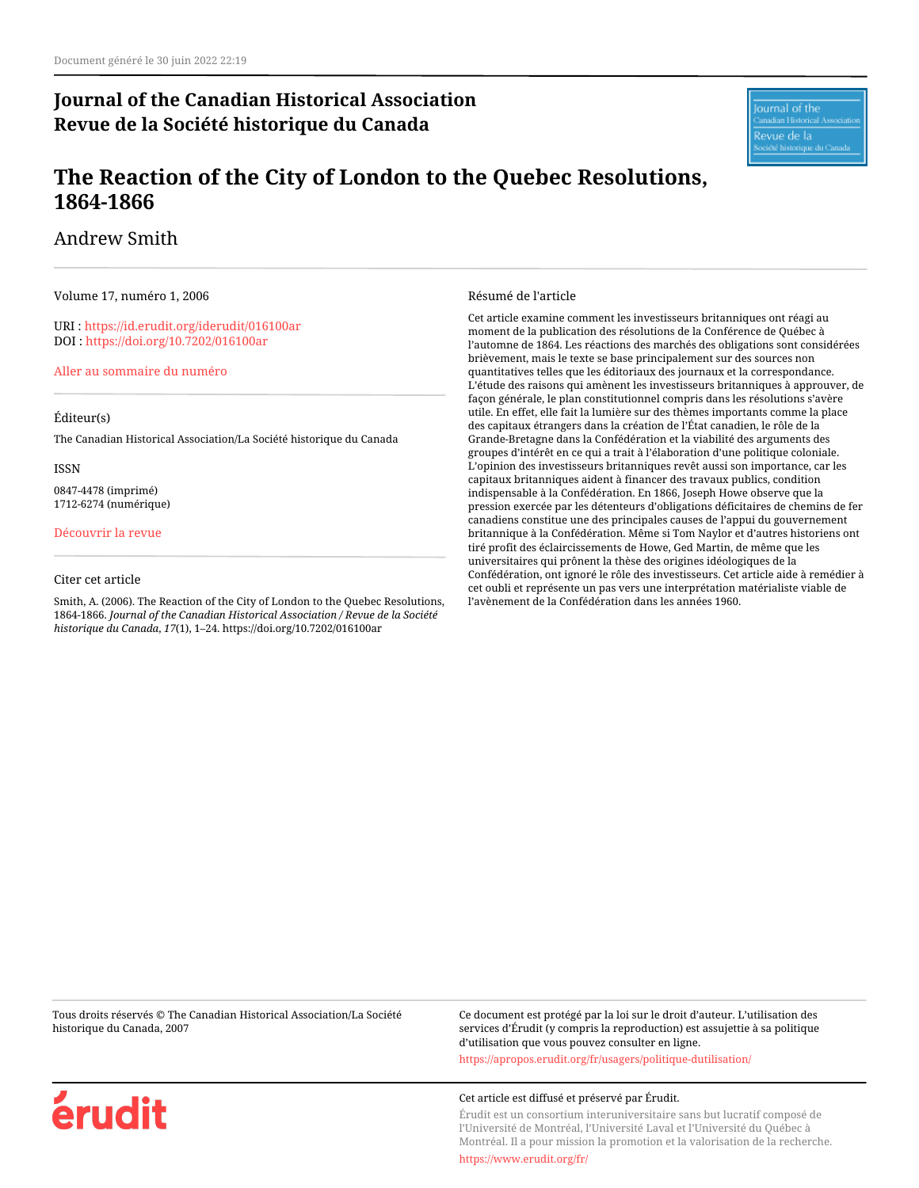# **Journal of the Canadian Historical Association Revue de la Société historique du Canada**

lournal of the adian Historical A Revue de la

# **The Reaction of the City of London to the Quebec Resolutions, 1864-1866**

# Andrew Smith

Volume 17, numéro 1, 2006

URI :<https://id.erudit.org/iderudit/016100ar> DOI :<https://doi.org/10.7202/016100ar>

[Aller au sommaire du numéro](https://www.erudit.org/fr/revues/jcha/2006-v17-n1-jcha1776/)

#### Éditeur(s)

The Canadian Historical Association/La Société historique du Canada

ISSN

0847-4478 (imprimé) 1712-6274 (numérique)

### [Découvrir la revue](https://www.erudit.org/fr/revues/jcha/)

#### Citer cet article

Smith, A. (2006). The Reaction of the City of London to the Quebec Resolutions, 1864-1866. *Journal of the Canadian Historical Association / Revue de la Société historique du Canada*, *17*(1), 1–24. https://doi.org/10.7202/016100ar

Résumé de l'article

Cet article examine comment les investisseurs britanniques ont réagi au moment de la publication des résolutions de la Conférence de Québec à l'automne de 1864. Les réactions des marchés des obligations sont considérées brièvement, mais le texte se base principalement sur des sources non quantitatives telles que les éditoriaux des journaux et la correspondance. L'étude des raisons qui amènent les investisseurs britanniques à approuver, de façon générale, le plan constitutionnel compris dans les résolutions s'avère utile. En effet, elle fait la lumière sur des thèmes importants comme la place des capitaux étrangers dans la création de l'État canadien, le rôle de la Grande-Bretagne dans la Confédération et la viabilité des arguments des groupes d'intérêt en ce qui a trait à l'élaboration d'une politique coloniale. L'opinion des investisseurs britanniques revêt aussi son importance, car les capitaux britanniques aident à financer des travaux publics, condition indispensable à la Confédération. En 1866, Joseph Howe observe que la pression exercée par les détenteurs d'obligations déficitaires de chemins de fer canadiens constitue une des principales causes de l'appui du gouvernement britannique à la Confédération. Même si Tom Naylor et d'autres historiens ont tiré profit des éclaircissements de Howe, Ged Martin, de même que les universitaires qui prônent la thèse des origines idéologiques de la Confédération, ont ignoré le rôle des investisseurs. Cet article aide à remédier à cet oubli et représente un pas vers une interprétation matérialiste viable de l'avènement de la Confédération dans les années 1960.

Tous droits réservés © The Canadian Historical Association/La Société historique du Canada, 2007

Ce document est protégé par la loi sur le droit d'auteur. L'utilisation des services d'Érudit (y compris la reproduction) est assujettie à sa politique d'utilisation que vous pouvez consulter en ligne.

<https://apropos.erudit.org/fr/usagers/politique-dutilisation/>

#### Cet article est diffusé et préservé par Érudit.

Érudit est un consortium interuniversitaire sans but lucratif composé de l'Université de Montréal, l'Université Laval et l'Université du Québec à Montréal. Il a pour mission la promotion et la valorisation de la recherche.

<https://www.erudit.org/fr/>

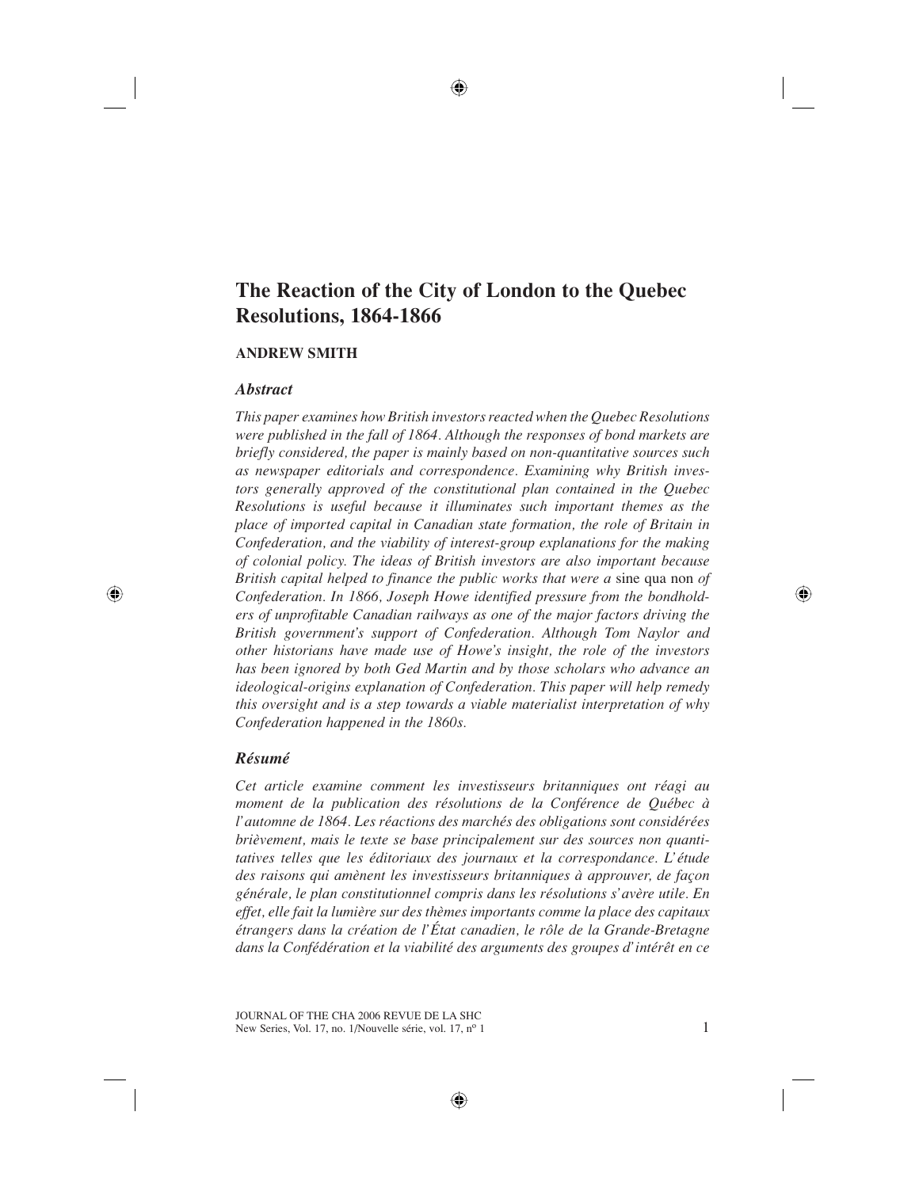# **The Reaction of the City of London to the Quebec Resolutions, 1864-1866**

## **ANDREW SMITH**

## *Abstract*

*This paper examines how British investors reacted when the Quebec Resolutions were published in the fall of 1864. Although the responses of bond markets are briefly considered, the paper is mainly based on non-quantitative sources such as newspaper editorials and correspondence. Examining why British investors generally approved of the constitutional plan contained in the Quebec Resolutions is useful because it illuminates such important themes as the place of imported capital in Canadian state formation, the role of Britain in Confederation, and the viability of interest-group explanations for the making of colonial policy. The ideas of British investors are also important because British capital helped to finance the public works that were a* sine qua non *of Confederation. In 1866, Joseph Howe identified pressure from the bondholders of unprofitable Canadian railways as one of the major factors driving the British government's support of Confederation. Although Tom Naylor and other historians have made use of Howe's insight, the role of the investors has been ignored by both Ged Martin and by those scholars who advance an ideological-origins explanation of Confederation. This paper will help remedy this oversight and is a step towards a viable materialist interpretation of why Confederation happened in the 1860s.*

## *Résumé*

*Cet article examine comment les investisseurs britanniques ont réagi au moment de la publication des résolutions de la Conférence de Québec à l'automne de 1864. Les réactions des marchés des obligations sont considérées brièvement, mais le texte se base principalement sur des sources non quantitatives telles que les éditoriaux des journaux et la correspondance. L'étude des raisons qui amènent les investisseurs britanniques à approuver, de façon générale, le plan constitutionnel compris dans les résolutions s'avère utile. En effet, elle fait la lumière sur des thèmes importants comme la place des capitaux étrangers dans la création de l'État canadien, le rôle de la Grande-Bretagne dans la Confédération et la viabilité des arguments des groupes d'intérêt en ce*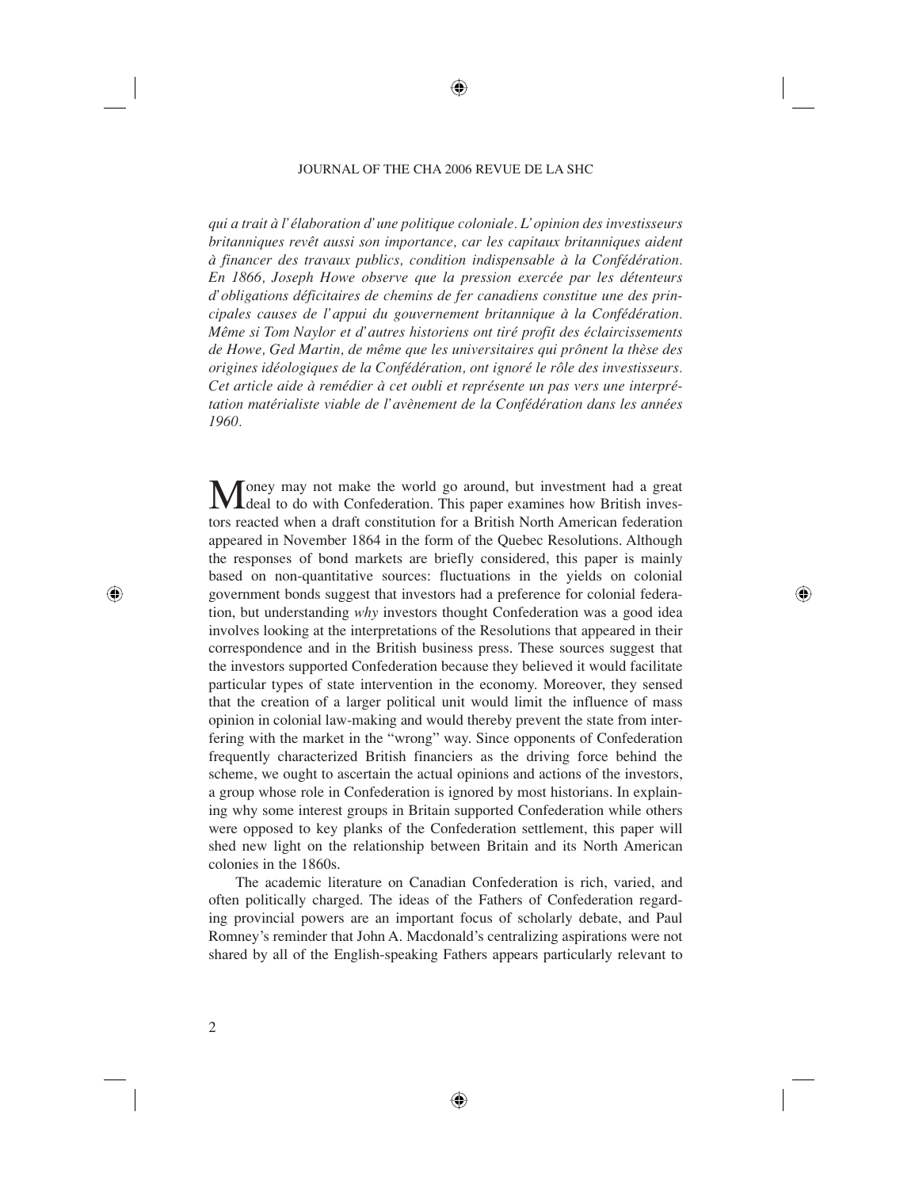*qui a trait à l'élaboration d'une politique coloniale. L'opinion des investisseurs britanniques revêt aussi son importance, car les capitaux britanniques aident à financer des travaux publics, condition indispensable à la Confédération. En 1866, Joseph Howe observe que la pression exercée par les détenteurs d'obligations déficitaires de chemins de fer canadiens constitue une des principales causes de l'appui du gouvernement britannique à la Confédération. Même si Tom Naylor et d'autres historiens ont tiré profit des éclaircissements de Howe, Ged Martin, de même que les universitaires qui prônent la thèse des origines idéologiques de la Confédération, ont ignoré le rôle des investisseurs. Cet article aide à remédier à cet oubli et représente un pas vers une interprétation matérialiste viable de l'avènement de la Confédération dans les années 1960.*

Money may not make the world go around, but investment had a great deal to do with Confederation. This paper examines how British investors reacted when a draft constitution for a British North American federation appeared in November 1864 in the form of the Quebec Resolutions. Although the responses of bond markets are briefly considered, this paper is mainly based on non-quantitative sources: fluctuations in the yields on colonial government bonds suggest that investors had a preference for colonial federation, but understanding *why* investors thought Confederation was a good idea involves looking at the interpretations of the Resolutions that appeared in their correspondence and in the British business press. These sources suggest that the investors supported Confederation because they believed it would facilitate particular types of state intervention in the economy. Moreover, they sensed that the creation of a larger political unit would limit the influence of mass opinion in colonial law-making and would thereby prevent the state from interfering with the market in the "wrong" way. Since opponents of Confederation frequently characterized British financiers as the driving force behind the scheme, we ought to ascertain the actual opinions and actions of the investors, a group whose role in Confederation is ignored by most historians. In explaining why some interest groups in Britain supported Confederation while others were opposed to key planks of the Confederation settlement, this paper will shed new light on the relationship between Britain and its North American colonies in the 1860s.

The academic literature on Canadian Confederation is rich, varied, and often politically charged. The ideas of the Fathers of Confederation regarding provincial powers are an important focus of scholarly debate, and Paul Romney's reminder that John A. Macdonald's centralizing aspirations were not shared by all of the English-speaking Fathers appears particularly relevant to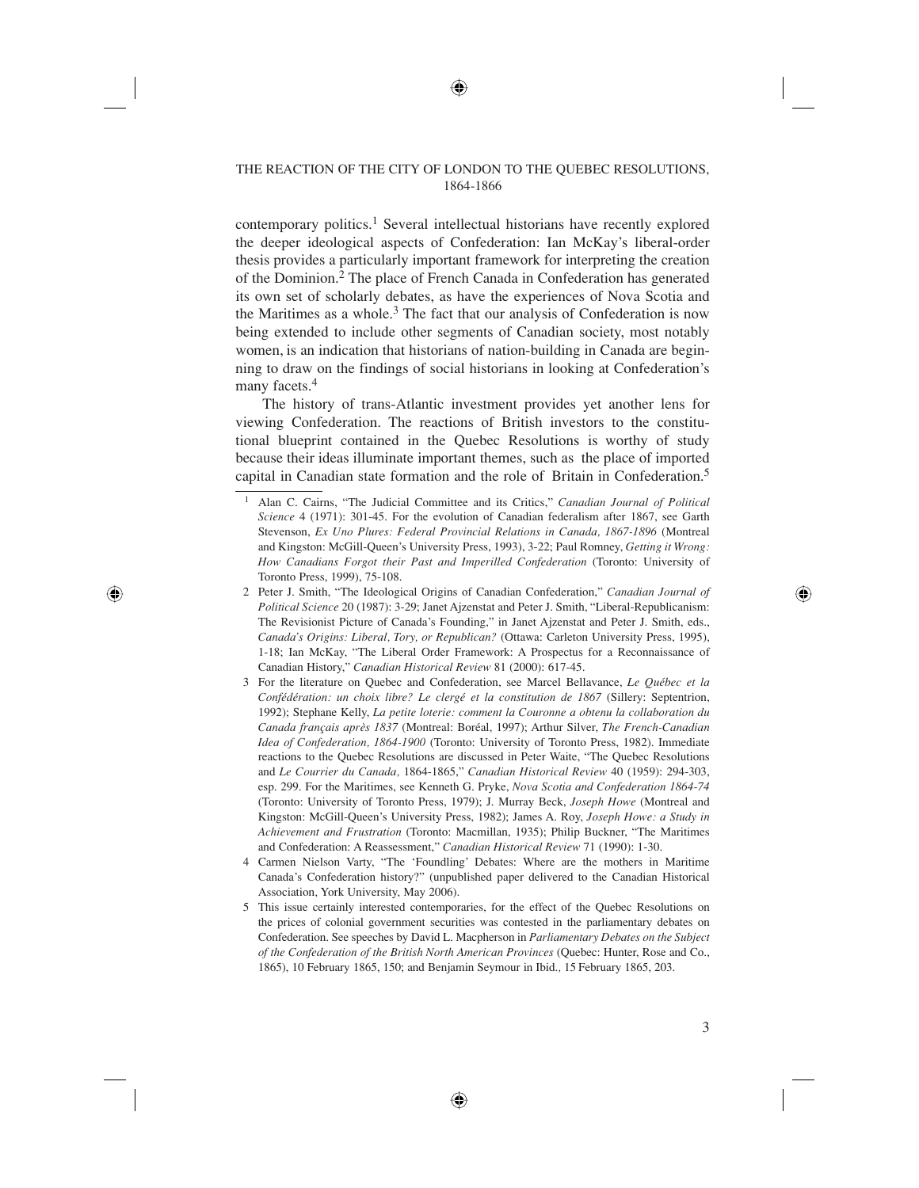contemporary politics.<sup>1</sup> Several intellectual historians have recently explored the deeper ideological aspects of Confederation: Ian McKay's liberal-order thesis provides a particularly important framework for interpreting the creation of the Dominion.2 The place of French Canada in Confederation has generated its own set of scholarly debates, as have the experiences of Nova Scotia and the Maritimes as a whole.<sup>3</sup> The fact that our analysis of Confederation is now being extended to include other segments of Canadian society, most notably women, is an indication that historians of nation-building in Canada are beginning to draw on the findings of social historians in looking at Confederation's many facets.<sup>4</sup>

The history of trans-Atlantic investment provides yet another lens for viewing Confederation. The reactions of British investors to the constitutional blueprint contained in the Quebec Resolutions is worthy of study because their ideas illuminate important themes, such as the place of imported capital in Canadian state formation and the role of Britain in Confederation.<sup>5</sup>

- 4 Carmen Nielson Varty, "The 'Foundling' Debates: Where are the mothers in Maritime Canada's Confederation history?" (unpublished paper delivered to the Canadian Historical Association, York University, May 2006).
- 5 This issue certainly interested contemporaries, for the effect of the Quebec Resolutions on the prices of colonial government securities was contested in the parliamentary debates on Confederation. See speeches by David L. Macpherson in *Parliamentary Debates on the Subject of the Confederation of the British North American Provinces* (Quebec: Hunter, Rose and Co., 1865), 10 February 1865, 150; and Benjamin Seymour in Ibid.*,* 15 February 1865, 203.

 <sup>1</sup> Alan C. Cairns, "The Judicial Committee and its Critics," *Canadian Journal of Political Science* 4 (1971): 301-45. For the evolution of Canadian federalism after 1867, see Garth Stevenson, *Ex Uno Plures: Federal Provincial Relations in Canada, 1867-1896* (Montreal and Kingston: McGill-Queen's University Press, 1993), 3-22; Paul Romney, *Getting it Wrong: How Canadians Forgot their Past and Imperilled Confederation* (Toronto: University of Toronto Press, 1999), 75-108.

 <sup>2</sup> Peter J. Smith, "The Ideological Origins of Canadian Confederation," *Canadian Journal of Political Science* 20 (1987): 3-29; Janet Ajzenstat and Peter J. Smith, "Liberal-Republicanism: The Revisionist Picture of Canada's Founding," in Janet Ajzenstat and Peter J. Smith, eds., *Canada's Origins: Liberal, Tory, or Republican?* (Ottawa: Carleton University Press, 1995), 1-18; Ian McKay, "The Liberal Order Framework: A Prospectus for a Reconnaissance of Canadian History," *Canadian Historical Review* 81 (2000): 617-45.

 <sup>3</sup> For the literature on Quebec and Confederation, see Marcel Bellavance, *Le Québec et la Confédération: un choix libre? Le clergé et la constitution de 1867* (Sillery: Septentrion, 1992); Stephane Kelly, *La petite loterie: comment la Couronne a obtenu la collaboration du Canada français après 1837* (Montreal: Boréal, 1997); Arthur Silver, *The French-Canadian Idea of Confederation, 1864-1900* (Toronto: University of Toronto Press, 1982). Immediate reactions to the Quebec Resolutions are discussed in Peter Waite, "The Quebec Resolutions and *Le Courrier du Canada,* 1864-1865," *Canadian Historical Review* 40 (1959): 294-303, esp. 299. For the Maritimes, see Kenneth G. Pryke, *Nova Scotia and Confederation 1864-74* (Toronto: University of Toronto Press, 1979); J. Murray Beck, *Joseph Howe* (Montreal and Kingston: McGill-Queen's University Press, 1982); James A. Roy, *Joseph Howe: a Study in Achievement and Frustration* (Toronto: Macmillan, 1935); Philip Buckner, "The Maritimes and Confederation: A Reassessment," *Canadian Historical Review* 71 (1990): 1-30.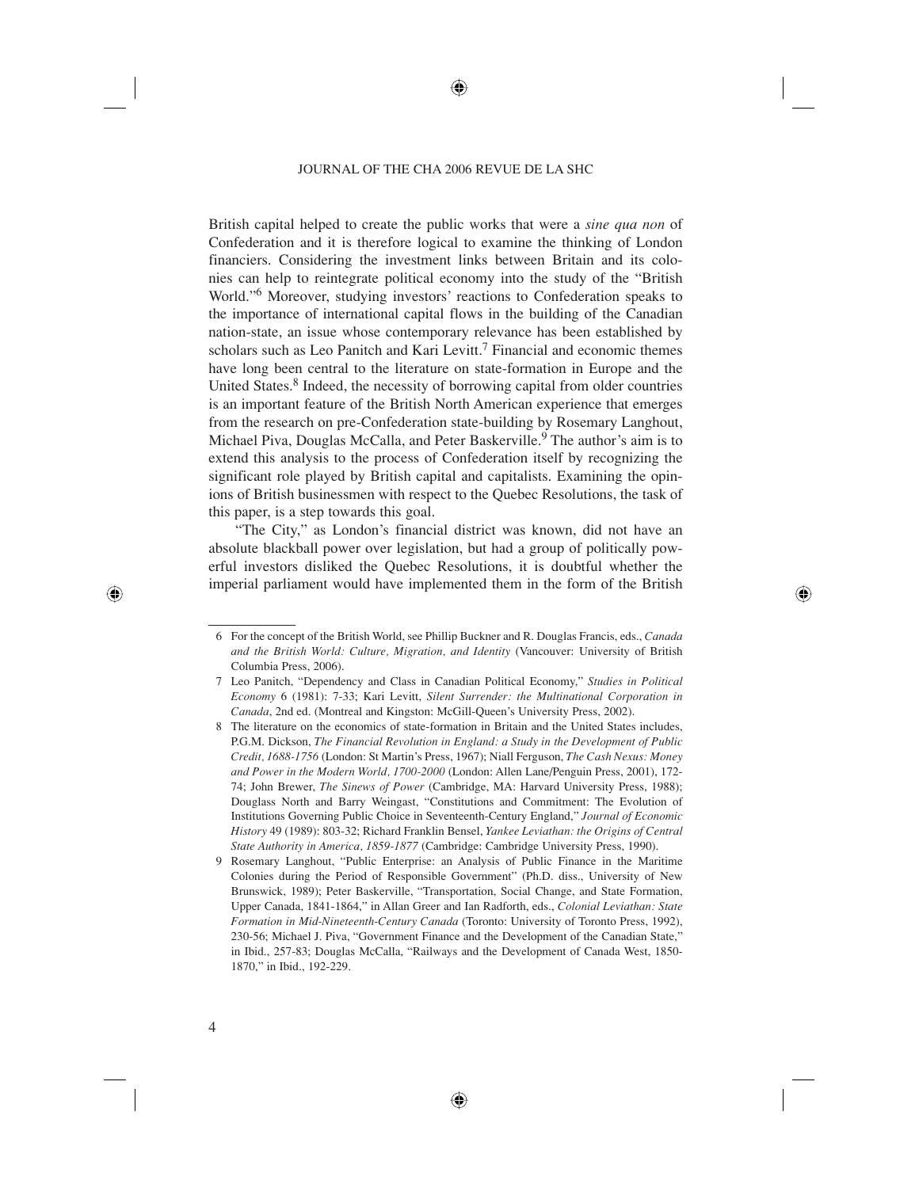British capital helped to create the public works that were a *sine qua non* of Confederation and it is therefore logical to examine the thinking of London financiers. Considering the investment links between Britain and its colonies can help to reintegrate political economy into the study of the "British World."6 Moreover, studying investors' reactions to Confederation speaks to the importance of international capital flows in the building of the Canadian nation-state, an issue whose contemporary relevance has been established by scholars such as Leo Panitch and Kari Levitt.<sup>7</sup> Financial and economic themes have long been central to the literature on state-formation in Europe and the United States.<sup>8</sup> Indeed, the necessity of borrowing capital from older countries is an important feature of the British North American experience that emerges from the research on pre-Confederation state-building by Rosemary Langhout, Michael Piva, Douglas McCalla, and Peter Baskerville.<sup>9</sup> The author's aim is to extend this analysis to the process of Confederation itself by recognizing the significant role played by British capital and capitalists. Examining the opinions of British businessmen with respect to the Quebec Resolutions, the task of this paper, is a step towards this goal.

"The City," as London's financial district was known, did not have an absolute blackball power over legislation, but had a group of politically powerful investors disliked the Quebec Resolutions, it is doubtful whether the imperial parliament would have implemented them in the form of the British

 <sup>6</sup> For the concept of the British World, see Phillip Buckner and R. Douglas Francis, eds., *Canada and the British World: Culture, Migration, and Identity* (Vancouver: University of British Columbia Press, 2006).

 <sup>7</sup> Leo Panitch, "Dependency and Class in Canadian Political Economy," *Studies in Political Economy* 6 (1981): 7-33; Kari Levitt, *Silent Surrender: the Multinational Corporation in Canada*, 2nd ed. (Montreal and Kingston: McGill-Queen's University Press, 2002).

 <sup>8</sup> The literature on the economics of state-formation in Britain and the United States includes, P.G.M. Dickson, *The Financial Revolution in England: a Study in the Development of Public Credit, 1688-1756* (London: St Martin's Press, 1967); Niall Ferguson, *The Cash Nexus: Money and Power in the Modern World, 1700-2000* (London: Allen Lane/Penguin Press, 2001), 172- 74; John Brewer, *The Sinews of Power* (Cambridge, MA: Harvard University Press, 1988); Douglass North and Barry Weingast, "Constitutions and Commitment: The Evolution of Institutions Governing Public Choice in Seventeenth-Century England," *Journal of Economic History* 49 (1989): 803-32; Richard Franklin Bensel, *Yankee Leviathan: the Origins of Central State Authority in America, 1859-1877* (Cambridge: Cambridge University Press, 1990).

 <sup>9</sup> Rosemary Langhout, "Public Enterprise: an Analysis of Public Finance in the Maritime Colonies during the Period of Responsible Government" (Ph.D. diss., University of New Brunswick, 1989); Peter Baskerville, "Transportation, Social Change, and State Formation, Upper Canada, 1841-1864," in Allan Greer and Ian Radforth, eds., *Colonial Leviathan: State Formation in Mid-Nineteenth-Century Canada* (Toronto: University of Toronto Press, 1992), 230-56; Michael J. Piva, "Government Finance and the Development of the Canadian State," in Ibid., 257-83; Douglas McCalla, "Railways and the Development of Canada West, 1850- 1870," in Ibid., 192-229.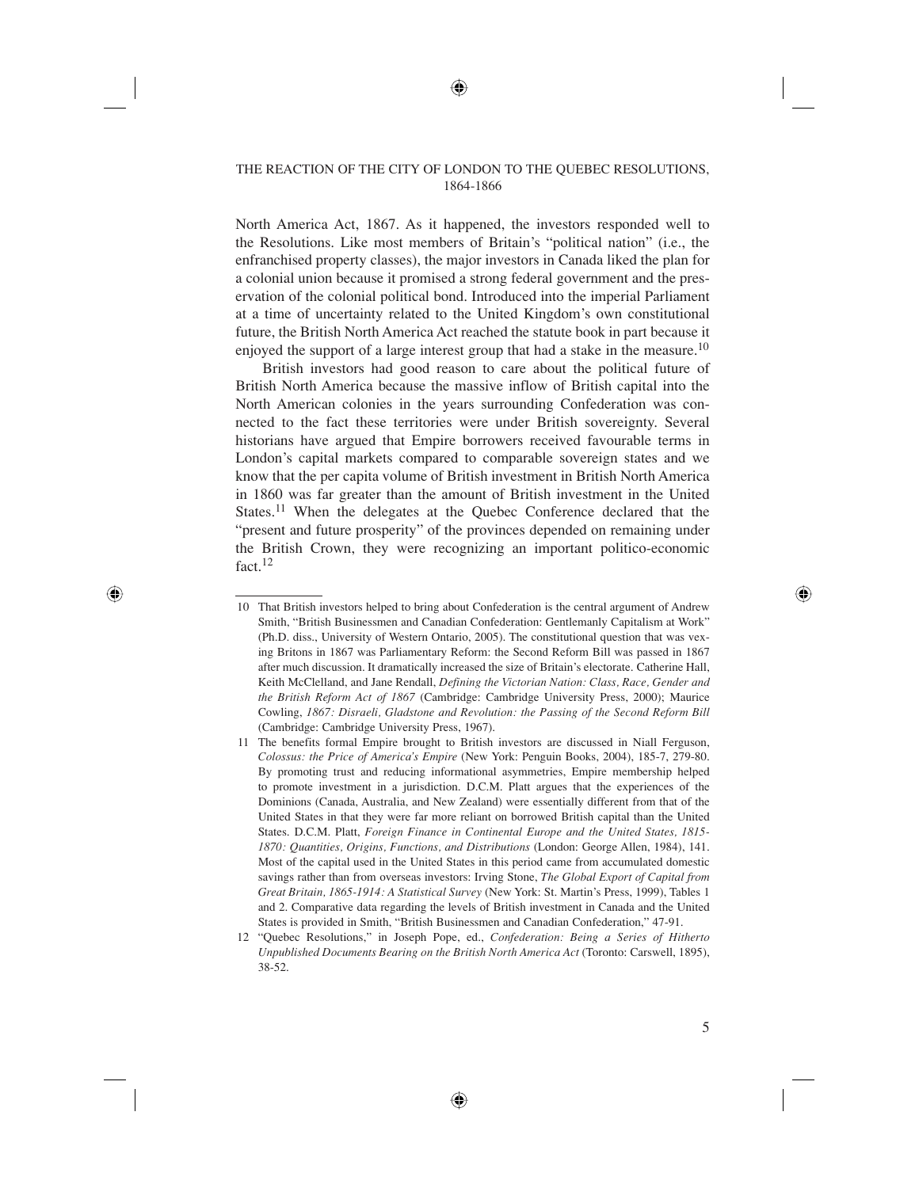North America Act, 1867. As it happened, the investors responded well to the Resolutions. Like most members of Britain's "political nation" (i.e., the enfranchised property classes), the major investors in Canada liked the plan for a colonial union because it promised a strong federal government and the preservation of the colonial political bond. Introduced into the imperial Parliament at a time of uncertainty related to the United Kingdom's own constitutional future, the British North America Act reached the statute book in part because it enjoyed the support of a large interest group that had a stake in the measure.<sup>10</sup>

British investors had good reason to care about the political future of British North America because the massive inflow of British capital into the North American colonies in the years surrounding Confederation was connected to the fact these territories were under British sovereignty. Several historians have argued that Empire borrowers received favourable terms in London's capital markets compared to comparable sovereign states and we know that the per capita volume of British investment in British North America in 1860 was far greater than the amount of British investment in the United States.<sup>11</sup> When the delegates at the Quebec Conference declared that the "present and future prosperity" of the provinces depended on remaining under the British Crown, they were recognizing an important politico-economic fact.12

 <sup>10</sup> That British investors helped to bring about Confederation is the central argument of Andrew Smith, "British Businessmen and Canadian Confederation: Gentlemanly Capitalism at Work" (Ph.D. diss., University of Western Ontario, 2005). The constitutional question that was vexing Britons in 1867 was Parliamentary Reform: the Second Reform Bill was passed in 1867 after much discussion. It dramatically increased the size of Britain's electorate. Catherine Hall, Keith McClelland, and Jane Rendall, *Defining the Victorian Nation: Class, Race, Gender and the British Reform Act of 1867* (Cambridge: Cambridge University Press, 2000); Maurice Cowling, *1867: Disraeli, Gladstone and Revolution: the Passing of the Second Reform Bill* (Cambridge: Cambridge University Press, 1967).

 <sup>11</sup> The benefits formal Empire brought to British investors are discussed in Niall Ferguson, *Colossus: the Price of America's Empire* (New York: Penguin Books, 2004), 185-7, 279-80. By promoting trust and reducing informational asymmetries, Empire membership helped to promote investment in a jurisdiction. D.C.M. Platt argues that the experiences of the Dominions (Canada, Australia, and New Zealand) were essentially different from that of the United States in that they were far more reliant on borrowed British capital than the United States. D.C.M. Platt, *Foreign Finance in Continental Europe and the United States, 1815- 1870: Quantities, Origins, Functions, and Distributions* (London: George Allen, 1984), 141. Most of the capital used in the United States in this period came from accumulated domestic savings rather than from overseas investors: Irving Stone, *The Global Export of Capital from Great Britain, 1865-1914: A Statistical Survey* (New York: St. Martin's Press, 1999), Tables 1 and 2. Comparative data regarding the levels of British investment in Canada and the United States is provided in Smith, "British Businessmen and Canadian Confederation," 47-91.

 <sup>12 &</sup>quot;Quebec Resolutions," in Joseph Pope, ed., *Confederation: Being a Series of Hitherto Unpublished Documents Bearing on the British North America Act* (Toronto: Carswell, 1895), 38-52.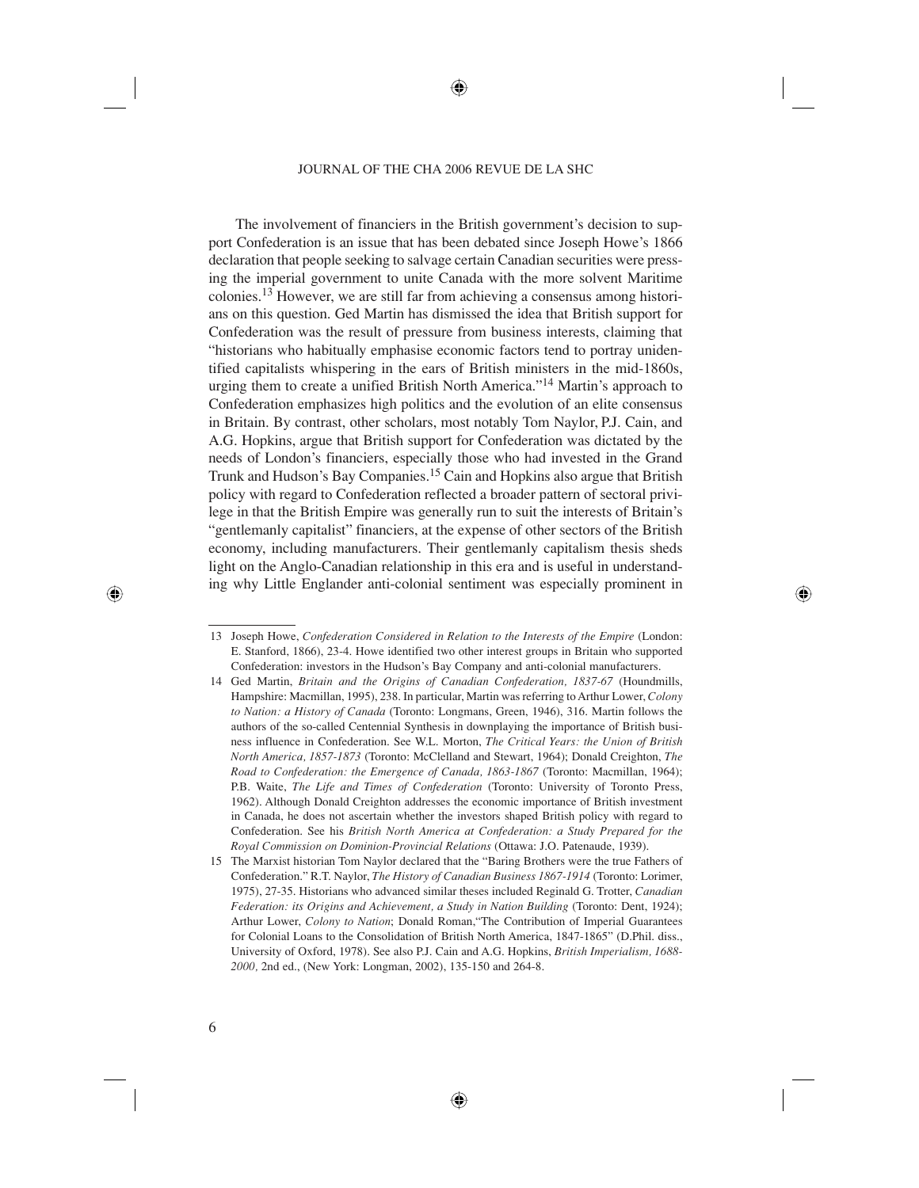The involvement of financiers in the British government's decision to support Confederation is an issue that has been debated since Joseph Howe's 1866 declaration that people seeking to salvage certain Canadian securities were pressing the imperial government to unite Canada with the more solvent Maritime colonies.13 However, we are still far from achieving a consensus among historians on this question. Ged Martin has dismissed the idea that British support for Confederation was the result of pressure from business interests, claiming that "historians who habitually emphasise economic factors tend to portray unidentified capitalists whispering in the ears of British ministers in the mid-1860s, urging them to create a unified British North America."14 Martin's approach to Confederation emphasizes high politics and the evolution of an elite consensus in Britain. By contrast, other scholars, most notably Tom Naylor, P.J. Cain, and A.G. Hopkins, argue that British support for Confederation was dictated by the needs of London's financiers, especially those who had invested in the Grand Trunk and Hudson's Bay Companies.15 Cain and Hopkins also argue that British policy with regard to Confederation reflected a broader pattern of sectoral privilege in that the British Empire was generally run to suit the interests of Britain's "gentlemanly capitalist" financiers, at the expense of other sectors of the British economy, including manufacturers. Their gentlemanly capitalism thesis sheds light on the Anglo-Canadian relationship in this era and is useful in understanding why Little Englander anti-colonial sentiment was especially prominent in

 <sup>13</sup> Joseph Howe, *Confederation Considered in Relation to the Interests of the Empire* (London: E. Stanford, 1866), 23-4. Howe identified two other interest groups in Britain who supported Confederation: investors in the Hudson's Bay Company and anti-colonial manufacturers.

 <sup>14</sup> Ged Martin, *Britain and the Origins of Canadian Confederation, 1837-67* (Houndmills, Hampshire: Macmillan, 1995), 238. In particular, Martin was referring to Arthur Lower, *Colony to Nation: a History of Canada* (Toronto: Longmans, Green, 1946), 316. Martin follows the authors of the so-called Centennial Synthesis in downplaying the importance of British business influence in Confederation. See W.L. Morton, *The Critical Years: the Union of British North America, 1857-1873* (Toronto: McClelland and Stewart, 1964); Donald Creighton, *The Road to Confederation: the Emergence of Canada, 1863-1867* (Toronto: Macmillan, 1964); P.B. Waite, *The Life and Times of Confederation* (Toronto: University of Toronto Press, 1962). Although Donald Creighton addresses the economic importance of British investment in Canada, he does not ascertain whether the investors shaped British policy with regard to Confederation. See his *British North America at Confederation: a Study Prepared for the Royal Commission on Dominion-Provincial Relations* (Ottawa: J.O. Patenaude, 1939).

 <sup>15</sup> The Marxist historian Tom Naylor declared that the "Baring Brothers were the true Fathers of Confederation." R.T. Naylor, *The History of Canadian Business 1867-1914* (Toronto: Lorimer, 1975), 27-35. Historians who advanced similar theses included Reginald G. Trotter, *Canadian Federation: its Origins and Achievement, a Study in Nation Building* (Toronto: Dent, 1924); Arthur Lower, *Colony to Nation*; Donald Roman,"The Contribution of Imperial Guarantees for Colonial Loans to the Consolidation of British North America, 1847-1865" (D.Phil. diss., University of Oxford, 1978). See also P.J. Cain and A.G. Hopkins, *British Imperialism, 1688- 2000,* 2nd ed., (New York: Longman, 2002), 135-150 and 264-8.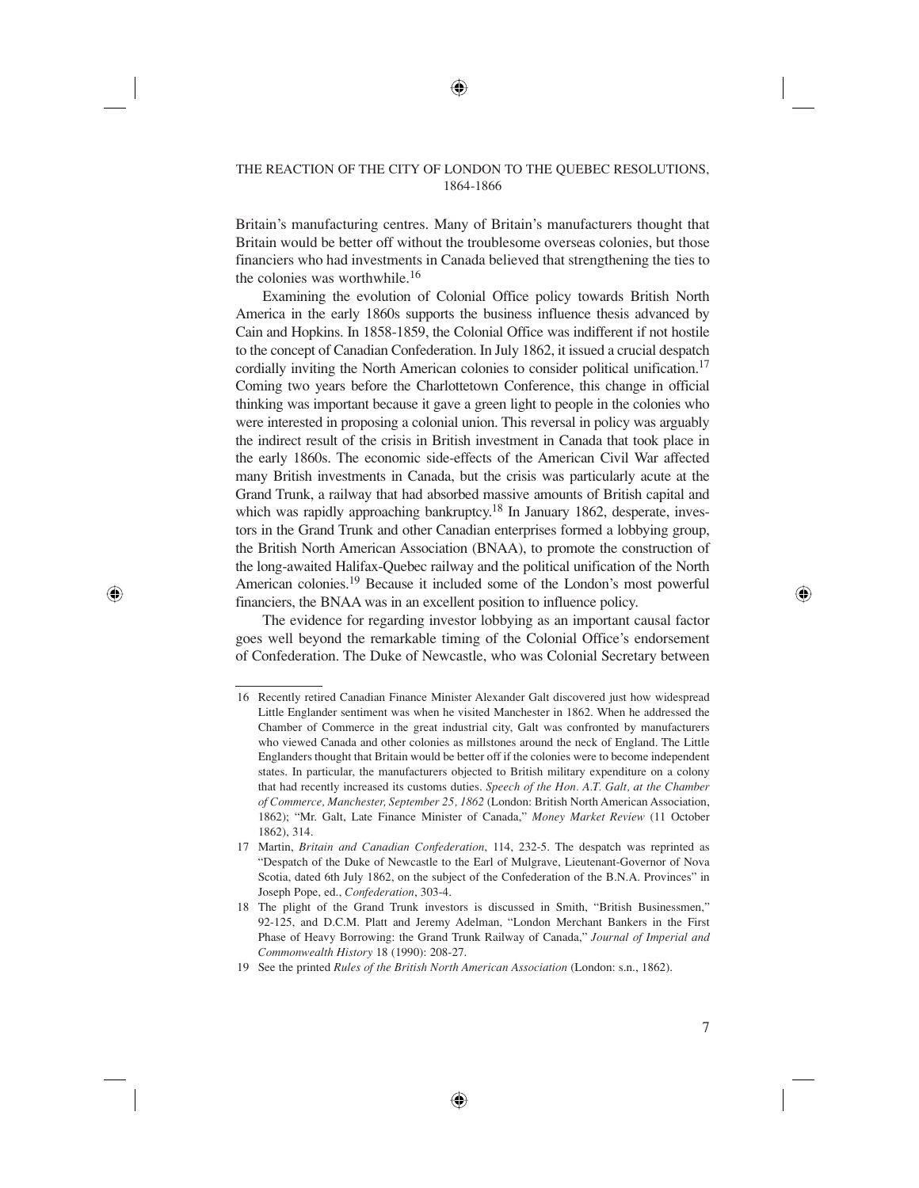Britain's manufacturing centres. Many of Britain's manufacturers thought that Britain would be better off without the troublesome overseas colonies, but those financiers who had investments in Canada believed that strengthening the ties to the colonies was worthwhile.16

Examining the evolution of Colonial Office policy towards British North America in the early 1860s supports the business influence thesis advanced by Cain and Hopkins. In 1858-1859, the Colonial Office was indifferent if not hostile to the concept of Canadian Confederation. In July 1862, it issued a crucial despatch cordially inviting the North American colonies to consider political unification.<sup>17</sup> Coming two years before the Charlottetown Conference, this change in official thinking was important because it gave a green light to people in the colonies who were interested in proposing a colonial union. This reversal in policy was arguably the indirect result of the crisis in British investment in Canada that took place in the early 1860s. The economic side-effects of the American Civil War affected many British investments in Canada, but the crisis was particularly acute at the Grand Trunk, a railway that had absorbed massive amounts of British capital and which was rapidly approaching bankruptcy.<sup>18</sup> In January 1862, desperate, investors in the Grand Trunk and other Canadian enterprises formed a lobbying group, the British North American Association (BNAA), to promote the construction of the long-awaited Halifax-Quebec railway and the political unification of the North American colonies.19 Because it included some of the London's most powerful financiers, the BNAA was in an excellent position to influence policy.

The evidence for regarding investor lobbying as an important causal factor goes well beyond the remarkable timing of the Colonial Office's endorsement of Confederation. The Duke of Newcastle, who was Colonial Secretary between

 <sup>16</sup> Recently retired Canadian Finance Minister Alexander Galt discovered just how widespread Little Englander sentiment was when he visited Manchester in 1862. When he addressed the Chamber of Commerce in the great industrial city, Galt was confronted by manufacturers who viewed Canada and other colonies as millstones around the neck of England. The Little Englanders thought that Britain would be better off if the colonies were to become independent states. In particular, the manufacturers objected to British military expenditure on a colony that had recently increased its customs duties. *Speech of the Hon. A.T. Galt, at the Chamber of Commerce, Manchester, September 25, 1862* (London: British North American Association, 1862); "Mr. Galt, Late Finance Minister of Canada," *Money Market Review* (11 October 1862), 314.

 <sup>17</sup> Martin, *Britain and Canadian Confederation*, 114, 232-5. The despatch was reprinted as "Despatch of the Duke of Newcastle to the Earl of Mulgrave, Lieutenant-Governor of Nova Scotia, dated 6th July 1862, on the subject of the Confederation of the B.N.A. Provinces" in Joseph Pope, ed., *Confederation*, 303-4.

 <sup>18</sup> The plight of the Grand Trunk investors is discussed in Smith, "British Businessmen," 92-125, and D.C.M. Platt and Jeremy Adelman, "London Merchant Bankers in the First Phase of Heavy Borrowing: the Grand Trunk Railway of Canada," *Journal of Imperial and Commonwealth History* 18 (1990): 208-27.

 <sup>19</sup> See the printed *Rules of the British North American Association* (London: s.n., 1862).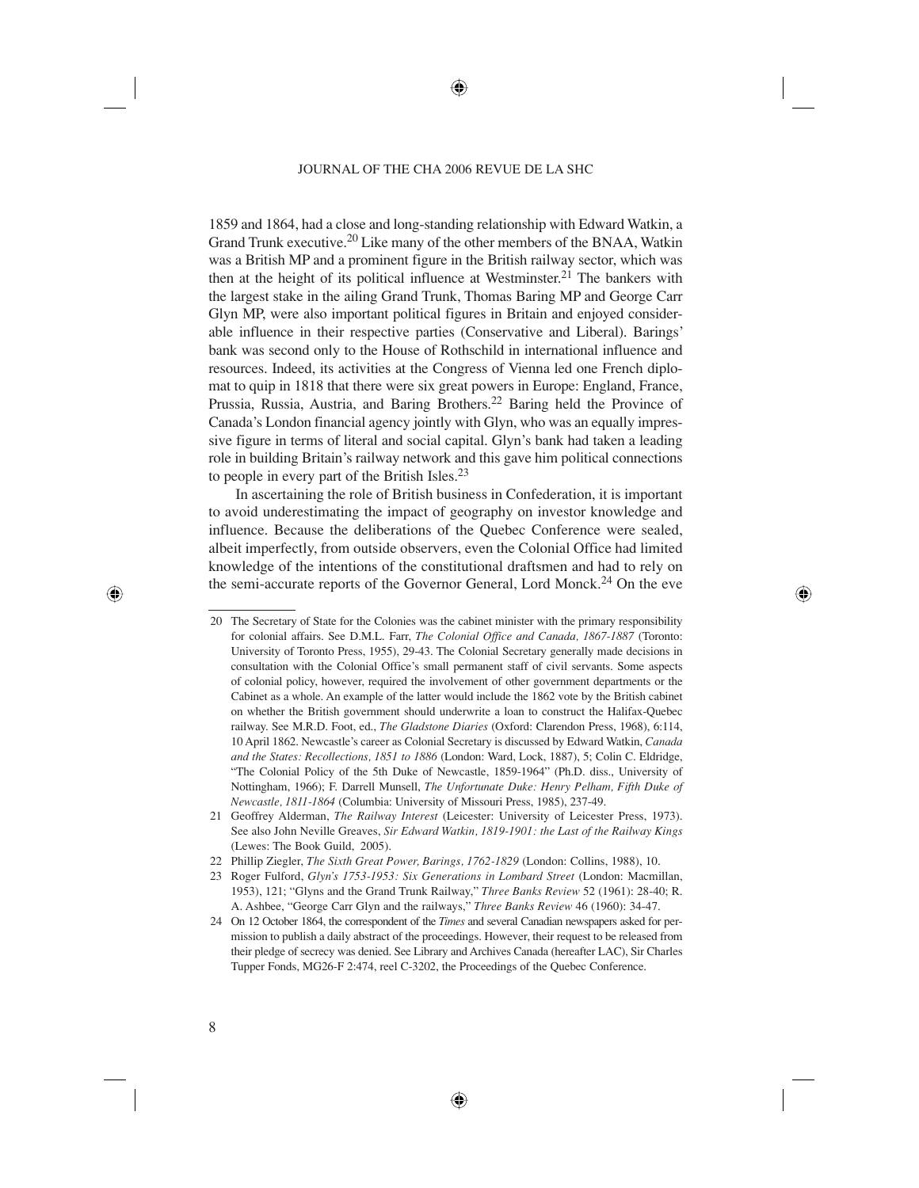1859 and 1864, had a close and long-standing relationship with Edward Watkin, a Grand Trunk executive.20 Like many of the other members of the BNAA, Watkin was a British MP and a prominent figure in the British railway sector, which was then at the height of its political influence at Westminster.<sup>21</sup> The bankers with the largest stake in the ailing Grand Trunk, Thomas Baring MP and George Carr Glyn MP, were also important political figures in Britain and enjoyed considerable influence in their respective parties (Conservative and Liberal). Barings' bank was second only to the House of Rothschild in international influence and resources. Indeed, its activities at the Congress of Vienna led one French diplomat to quip in 1818 that there were six great powers in Europe: England, France, Prussia, Russia, Austria, and Baring Brothers.<sup>22</sup> Baring held the Province of Canada's London financial agency jointly with Glyn, who was an equally impressive figure in terms of literal and social capital. Glyn's bank had taken a leading role in building Britain's railway network and this gave him political connections to people in every part of the British Isles. $^{23}$ 

In ascertaining the role of British business in Confederation, it is important to avoid underestimating the impact of geography on investor knowledge and influence. Because the deliberations of the Quebec Conference were sealed, albeit imperfectly, from outside observers, even the Colonial Office had limited knowledge of the intentions of the constitutional draftsmen and had to rely on the semi-accurate reports of the Governor General, Lord Monck.<sup>24</sup> On the eve

 <sup>20</sup> The Secretary of State for the Colonies was the cabinet minister with the primary responsibility for colonial affairs. See D.M.L. Farr, *The Colonial Office and Canada, 1867-1887* (Toronto: University of Toronto Press, 1955), 29-43. The Colonial Secretary generally made decisions in consultation with the Colonial Office's small permanent staff of civil servants. Some aspects of colonial policy, however, required the involvement of other government departments or the Cabinet as a whole. An example of the latter would include the 1862 vote by the British cabinet on whether the British government should underwrite a loan to construct the Halifax-Quebec railway. See M.R.D. Foot, ed., *The Gladstone Diaries* (Oxford: Clarendon Press, 1968), 6:114, 10 April 1862. Newcastle's career as Colonial Secretary is discussed by Edward Watkin, *Canada and the States: Recollections, 1851 to 1886* (London: Ward, Lock, 1887), 5; Colin C. Eldridge, "The Colonial Policy of the 5th Duke of Newcastle, 1859-1964" (Ph.D. diss., University of Nottingham, 1966); F. Darrell Munsell, *The Unfortunate Duke: Henry Pelham, Fifth Duke of Newcastle, 1811-1864* (Columbia: University of Missouri Press, 1985), 237-49.

 <sup>21</sup> Geoffrey Alderman, *The Railway Interest* (Leicester: University of Leicester Press, 1973). See also John Neville Greaves, *Sir Edward Watkin, 1819-1901: the Last of the Railway Kings* (Lewes: The Book Guild, 2005).

 <sup>22</sup> Phillip Ziegler, *The Sixth Great Power, Barings, 1762-1829* (London: Collins, 1988), 10.

 <sup>23</sup> Roger Fulford, *Glyn's 1753-1953: Six Generations in Lombard Street* (London: Macmillan, 1953), 121; "Glyns and the Grand Trunk Railway," *Three Banks Review* 52 (1961): 28-40; R. A. Ashbee, "George Carr Glyn and the railways," *Three Banks Review* 46 (1960): 34-47.

 <sup>24</sup> On 12 October 1864, the correspondent of the *Times* and several Canadian newspapers asked for permission to publish a daily abstract of the proceedings. However, their request to be released from their pledge of secrecy was denied. See Library and Archives Canada (hereafter LAC), Sir Charles Tupper Fonds, MG26-F 2:474, reel C-3202, the Proceedings of the Quebec Conference.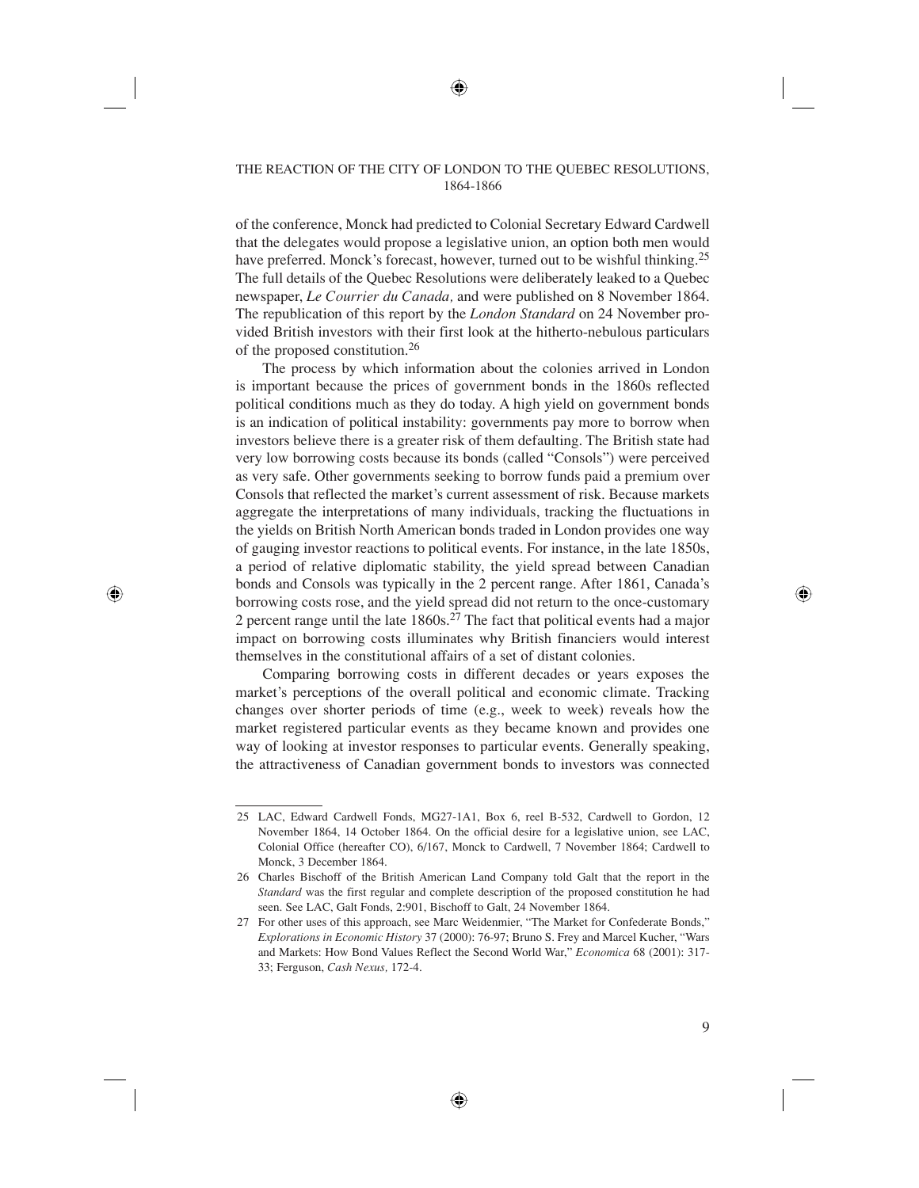of the conference, Monck had predicted to Colonial Secretary Edward Cardwell that the delegates would propose a legislative union, an option both men would have preferred. Monck's forecast, however, turned out to be wishful thinking.<sup>25</sup> The full details of the Quebec Resolutions were deliberately leaked to a Quebec newspaper, *Le Courrier du Canada,* and were published on 8 November 1864. The republication of this report by the *London Standard* on 24 November provided British investors with their first look at the hitherto-nebulous particulars of the proposed constitution.26

The process by which information about the colonies arrived in London is important because the prices of government bonds in the 1860s reflected political conditions much as they do today. A high yield on government bonds is an indication of political instability: governments pay more to borrow when investors believe there is a greater risk of them defaulting. The British state had very low borrowing costs because its bonds (called "Consols") were perceived as very safe. Other governments seeking to borrow funds paid a premium over Consols that reflected the market's current assessment of risk. Because markets aggregate the interpretations of many individuals, tracking the fluctuations in the yields on British North American bonds traded in London provides one way of gauging investor reactions to political events. For instance, in the late 1850s, a period of relative diplomatic stability, the yield spread between Canadian bonds and Consols was typically in the 2 percent range. After 1861, Canada's borrowing costs rose, and the yield spread did not return to the once-customary 2 percent range until the late  $1860s^{27}$  The fact that political events had a major impact on borrowing costs illuminates why British financiers would interest themselves in the constitutional affairs of a set of distant colonies.

Comparing borrowing costs in different decades or years exposes the market's perceptions of the overall political and economic climate. Tracking changes over shorter periods of time (e.g., week to week) reveals how the market registered particular events as they became known and provides one way of looking at investor responses to particular events. Generally speaking, the attractiveness of Canadian government bonds to investors was connected

 <sup>25</sup> LAC, Edward Cardwell Fonds, MG27-1A1, Box 6, reel B-532, Cardwell to Gordon, 12 November 1864, 14 October 1864. On the official desire for a legislative union, see LAC, Colonial Office (hereafter CO), 6/167, Monck to Cardwell, 7 November 1864; Cardwell to Monck, 3 December 1864.

 <sup>26</sup> Charles Bischoff of the British American Land Company told Galt that the report in the *Standard* was the first regular and complete description of the proposed constitution he had seen. See LAC, Galt Fonds, 2:901, Bischoff to Galt, 24 November 1864.

 <sup>27</sup> For other uses of this approach, see Marc Weidenmier, "The Market for Confederate Bonds," *Explorations in Economic History* 37 (2000): 76-97; Bruno S. Frey and Marcel Kucher, "Wars and Markets: How Bond Values Reflect the Second World War," *Economica* 68 (2001): 317- 33; Ferguson, *Cash Nexus,* 172-4.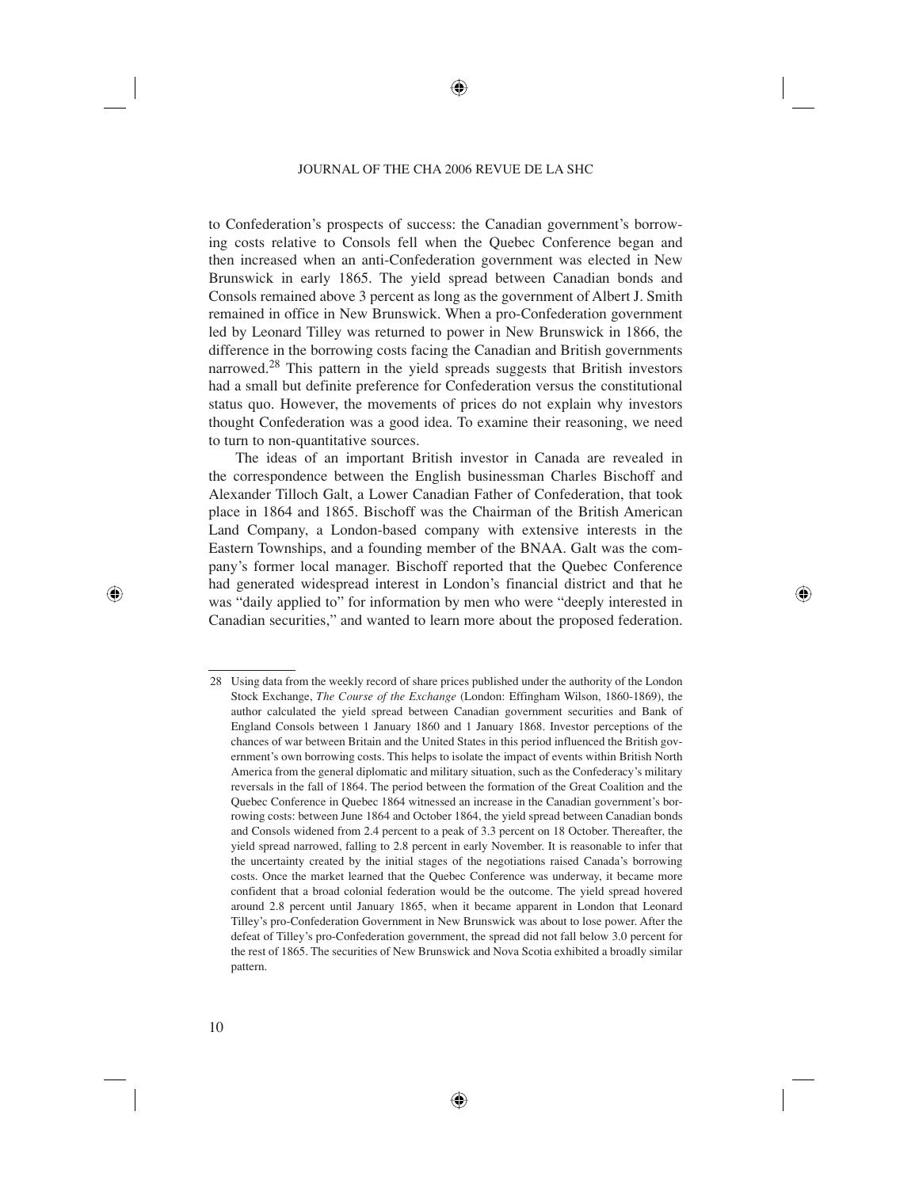to Confederation's prospects of success: the Canadian government's borrowing costs relative to Consols fell when the Quebec Conference began and then increased when an anti-Confederation government was elected in New Brunswick in early 1865. The yield spread between Canadian bonds and Consols remained above 3 percent as long as the government of Albert J. Smith remained in office in New Brunswick. When a pro-Confederation government led by Leonard Tilley was returned to power in New Brunswick in 1866, the difference in the borrowing costs facing the Canadian and British governments narrowed.<sup>28</sup> This pattern in the yield spreads suggests that British investors had a small but definite preference for Confederation versus the constitutional status quo. However, the movements of prices do not explain why investors thought Confederation was a good idea. To examine their reasoning, we need to turn to non-quantitative sources.

The ideas of an important British investor in Canada are revealed in the correspondence between the English businessman Charles Bischoff and Alexander Tilloch Galt, a Lower Canadian Father of Confederation, that took place in 1864 and 1865. Bischoff was the Chairman of the British American Land Company, a London-based company with extensive interests in the Eastern Townships, and a founding member of the BNAA. Galt was the company's former local manager. Bischoff reported that the Quebec Conference had generated widespread interest in London's financial district and that he was "daily applied to" for information by men who were "deeply interested in Canadian securities," and wanted to learn more about the proposed federation.

 <sup>28</sup> Using data from the weekly record of share prices published under the authority of the London Stock Exchange, *The Course of the Exchange* (London: Effingham Wilson, 1860-1869), the author calculated the yield spread between Canadian government securities and Bank of England Consols between 1 January 1860 and 1 January 1868. Investor perceptions of the chances of war between Britain and the United States in this period influenced the British government's own borrowing costs. This helps to isolate the impact of events within British North America from the general diplomatic and military situation, such as the Confederacy's military reversals in the fall of 1864. The period between the formation of the Great Coalition and the Quebec Conference in Quebec 1864 witnessed an increase in the Canadian government's borrowing costs: between June 1864 and October 1864, the yield spread between Canadian bonds and Consols widened from 2.4 percent to a peak of 3.3 percent on 18 October. Thereafter, the yield spread narrowed, falling to 2.8 percent in early November. It is reasonable to infer that the uncertainty created by the initial stages of the negotiations raised Canada's borrowing costs. Once the market learned that the Quebec Conference was underway, it became more confident that a broad colonial federation would be the outcome. The yield spread hovered around 2.8 percent until January 1865, when it became apparent in London that Leonard Tilley's pro-Confederation Government in New Brunswick was about to lose power. After the defeat of Tilley's pro-Confederation government, the spread did not fall below 3.0 percent for the rest of 1865. The securities of New Brunswick and Nova Scotia exhibited a broadly similar pattern.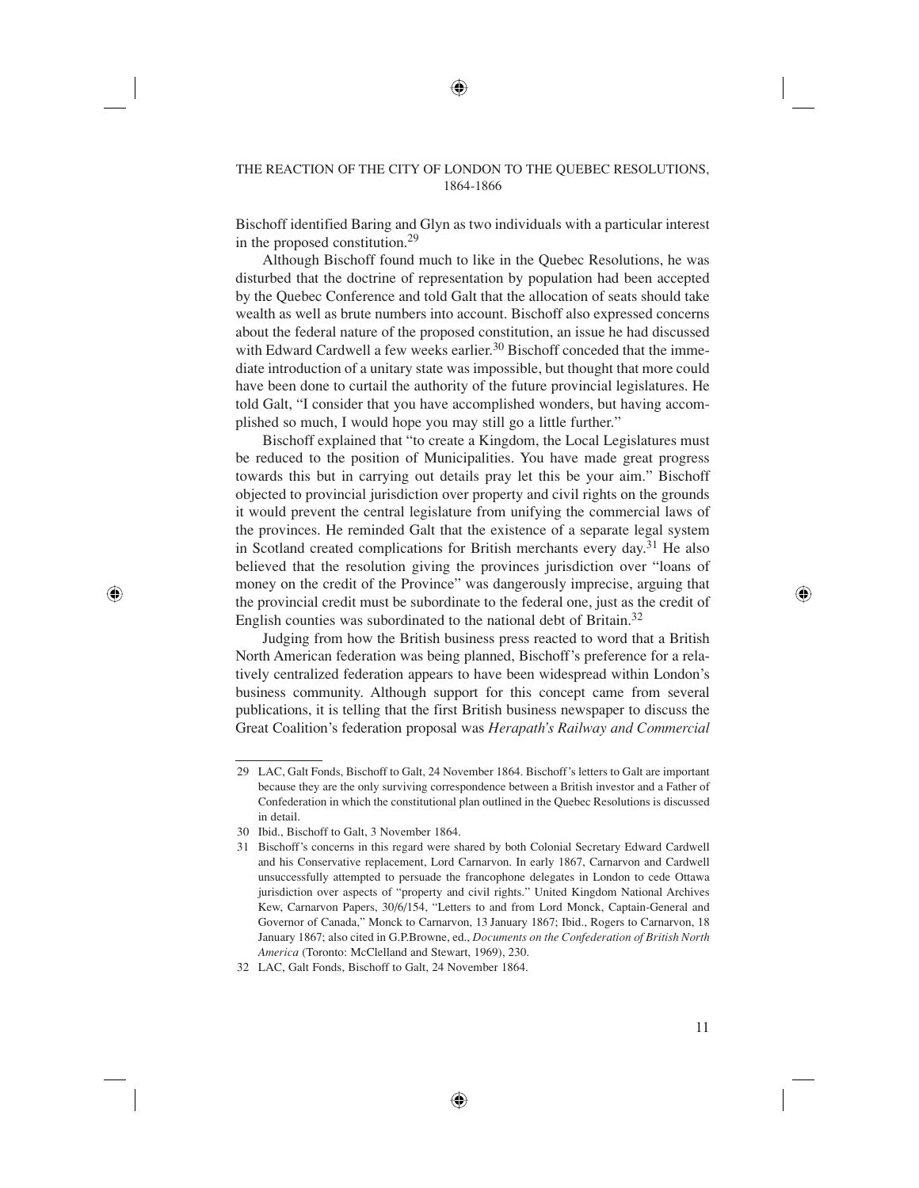Bischoff identified Baring and Glyn as two individuals with a particular interest in the proposed constitution.29

Although Bischoff found much to like in the Quebec Resolutions, he was disturbed that the doctrine of representation by population had been accepted by the Quebec Conference and told Galt that the allocation of seats should take wealth as well as brute numbers into account. Bischoff also expressed concerns about the federal nature of the proposed constitution, an issue he had discussed with Edward Cardwell a few weeks earlier.<sup>30</sup> Bischoff conceded that the immediate introduction of a unitary state was impossible, but thought that more could have been done to curtail the authority of the future provincial legislatures. He told Galt, "I consider that you have accomplished wonders, but having accomplished so much, I would hope you may still go a little further."

Bischoff explained that "to create a Kingdom, the Local Legislatures must be reduced to the position of Municipalities. You have made great progress towards this but in carrying out details pray let this be your aim." Bischoff objected to provincial jurisdiction over property and civil rights on the grounds it would prevent the central legislature from unifying the commercial laws of the provinces. He reminded Galt that the existence of a separate legal system in Scotland created complications for British merchants every day.<sup>31</sup> He also believed that the resolution giving the provinces jurisdiction over "loans of money on the credit of the Province" was dangerously imprecise, arguing that the provincial credit must be subordinate to the federal one, just as the credit of English counties was subordinated to the national debt of Britain.<sup>32</sup>

Judging from how the British business press reacted to word that a British North American federation was being planned, Bischoff's preference for a relatively centralized federation appears to have been widespread within London's business community. Although support for this concept came from several publications, it is telling that the first British business newspaper to discuss the Great Coalition's federation proposal was *Herapath's Railway and Commercial* 

 <sup>29</sup> LAC, Galt Fonds, Bischoff to Galt, 24 November 1864. Bischoff's letters to Galt are important because they are the only surviving correspondence between a British investor and a Father of Confederation in which the constitutional plan outlined in the Quebec Resolutions is discussed in detail.

 <sup>30</sup> Ibid., Bischoff to Galt, 3 November 1864.

 <sup>31</sup> Bischoff's concerns in this regard were shared by both Colonial Secretary Edward Cardwell and his Conservative replacement, Lord Carnarvon. In early 1867, Carnarvon and Cardwell unsuccessfully attempted to persuade the francophone delegates in London to cede Ottawa jurisdiction over aspects of "property and civil rights." United Kingdom National Archives Kew, Carnarvon Papers, 30/6/154, "Letters to and from Lord Monck, Captain-General and Governor of Canada," Monck to Carnarvon, 13 January 1867; Ibid., Rogers to Carnarvon, 18 January 1867; also cited in G.P.Browne, ed., *Documents on the Confederation of British North America* (Toronto: McClelland and Stewart, 1969), 230.

 <sup>32</sup> LAC, Galt Fonds, Bischoff to Galt, 24 November 1864.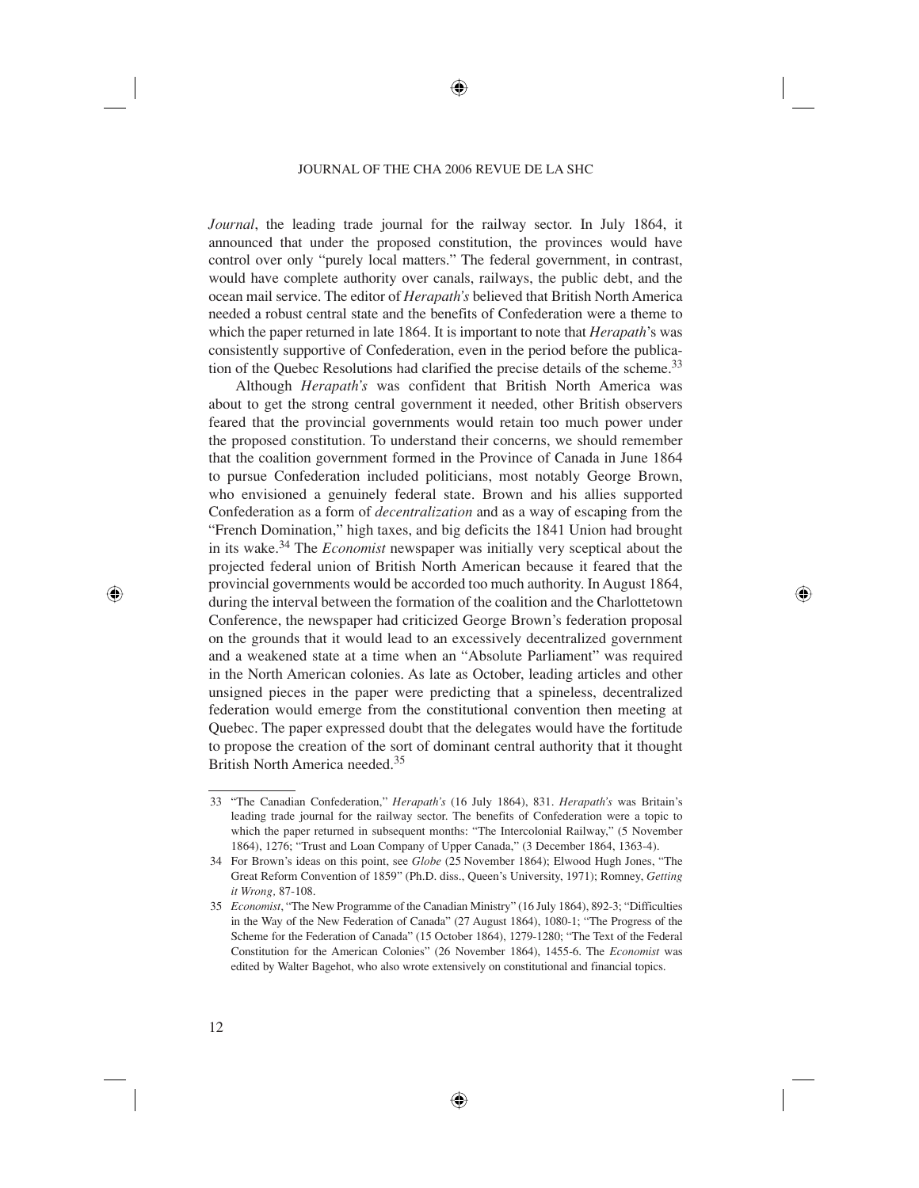*Journal*, the leading trade journal for the railway sector. In July 1864, it announced that under the proposed constitution, the provinces would have control over only "purely local matters." The federal government, in contrast, would have complete authority over canals, railways, the public debt, and the ocean mail service. The editor of *Herapath's* believed that British North America needed a robust central state and the benefits of Confederation were a theme to which the paper returned in late 1864. It is important to note that *Herapath*'s was consistently supportive of Confederation, even in the period before the publication of the Quebec Resolutions had clarified the precise details of the scheme.<sup>33</sup>

Although *Herapath's* was confident that British North America was about to get the strong central government it needed, other British observers feared that the provincial governments would retain too much power under the proposed constitution. To understand their concerns, we should remember that the coalition government formed in the Province of Canada in June 1864 to pursue Confederation included politicians, most notably George Brown, who envisioned a genuinely federal state. Brown and his allies supported Confederation as a form of *decentralization* and as a way of escaping from the "French Domination," high taxes, and big deficits the 1841 Union had brought in its wake.34 The *Economist* newspaper was initially very sceptical about the projected federal union of British North American because it feared that the provincial governments would be accorded too much authority. In August 1864, during the interval between the formation of the coalition and the Charlottetown Conference, the newspaper had criticized George Brown's federation proposal on the grounds that it would lead to an excessively decentralized government and a weakened state at a time when an "Absolute Parliament" was required in the North American colonies. As late as October, leading articles and other unsigned pieces in the paper were predicting that a spineless, decentralized federation would emerge from the constitutional convention then meeting at Quebec. The paper expressed doubt that the delegates would have the fortitude to propose the creation of the sort of dominant central authority that it thought British North America needed.<sup>35</sup>

 <sup>33 &</sup>quot;The Canadian Confederation," *Herapath's* (16 July 1864), 831. *Herapath's* was Britain's leading trade journal for the railway sector. The benefits of Confederation were a topic to which the paper returned in subsequent months: "The Intercolonial Railway," (5 November 1864), 1276; "Trust and Loan Company of Upper Canada," (3 December 1864, 1363-4).

 <sup>34</sup> For Brown's ideas on this point, see *Globe* (25 November 1864); Elwood Hugh Jones, "The Great Reform Convention of 1859" (Ph.D. diss., Queen's University, 1971); Romney, *Getting it Wrong,* 87-108.

 <sup>35</sup> *Economist*, "The New Programme of the Canadian Ministry" (16 July 1864), 892-3; "Difficulties in the Way of the New Federation of Canada" (27 August 1864), 1080-1; "The Progress of the Scheme for the Federation of Canada" (15 October 1864), 1279-1280; "The Text of the Federal Constitution for the American Colonies" (26 November 1864), 1455-6. The *Economist* was edited by Walter Bagehot, who also wrote extensively on constitutional and financial topics.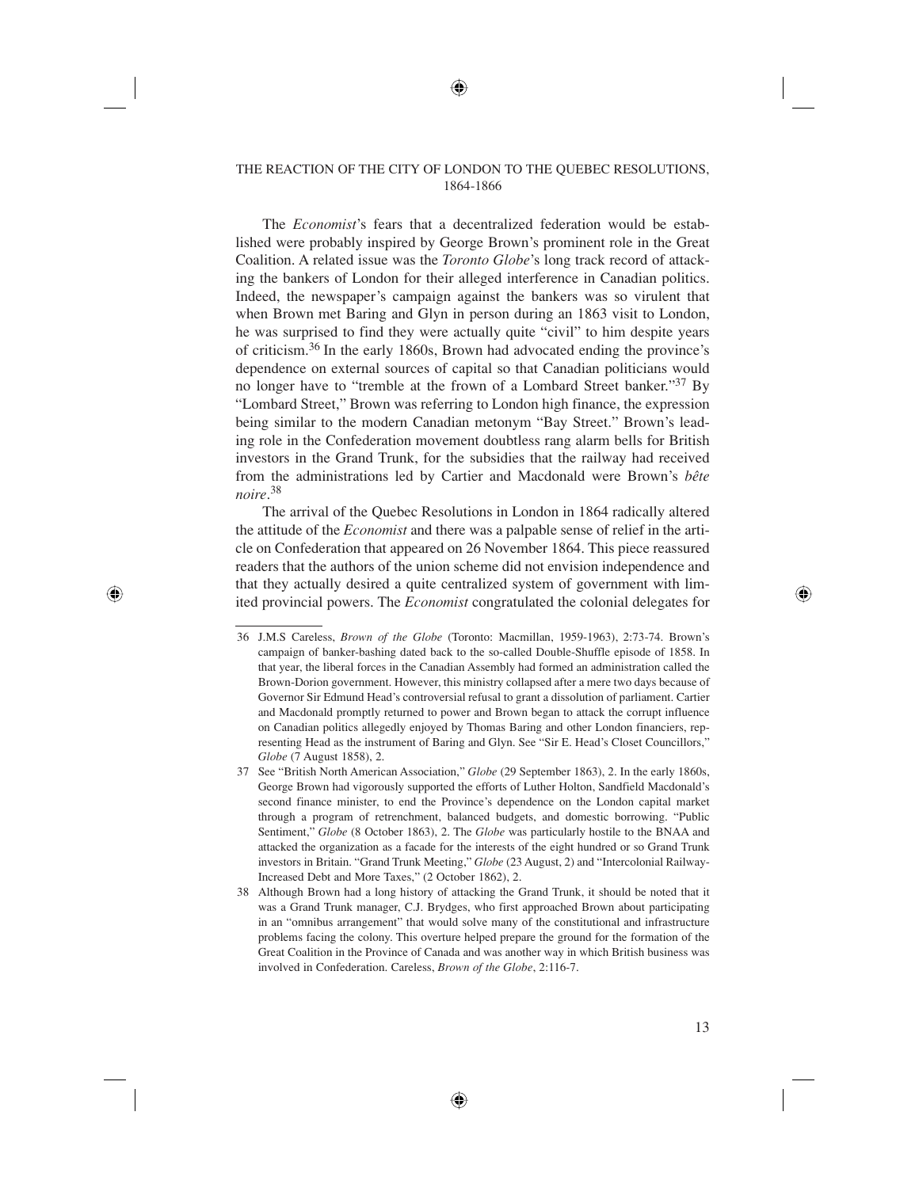The *Economist*'s fears that a decentralized federation would be established were probably inspired by George Brown's prominent role in the Great Coalition. A related issue was the *Toronto Globe*'s long track record of attacking the bankers of London for their alleged interference in Canadian politics. Indeed, the newspaper's campaign against the bankers was so virulent that when Brown met Baring and Glyn in person during an 1863 visit to London, he was surprised to find they were actually quite "civil" to him despite years of criticism.36 In the early 1860s, Brown had advocated ending the province's dependence on external sources of capital so that Canadian politicians would no longer have to "tremble at the frown of a Lombard Street banker."<sup>37</sup> By "Lombard Street," Brown was referring to London high finance, the expression being similar to the modern Canadian metonym "Bay Street." Brown's leading role in the Confederation movement doubtless rang alarm bells for British investors in the Grand Trunk, for the subsidies that the railway had received from the administrations led by Cartier and Macdonald were Brown's *bête noire*. 38

The arrival of the Quebec Resolutions in London in 1864 radically altered the attitude of the *Economist* and there was a palpable sense of relief in the article on Confederation that appeared on 26 November 1864. This piece reassured readers that the authors of the union scheme did not envision independence and that they actually desired a quite centralized system of government with limited provincial powers. The *Economist* congratulated the colonial delegates for

 <sup>36</sup> J.M.S Careless, *Brown of the Globe* (Toronto: Macmillan, 1959-1963), 2:73-74. Brown's campaign of banker-bashing dated back to the so-called Double-Shuffle episode of 1858. In that year, the liberal forces in the Canadian Assembly had formed an administration called the Brown-Dorion government. However, this ministry collapsed after a mere two days because of Governor Sir Edmund Head's controversial refusal to grant a dissolution of parliament. Cartier and Macdonald promptly returned to power and Brown began to attack the corrupt influence on Canadian politics allegedly enjoyed by Thomas Baring and other London financiers, representing Head as the instrument of Baring and Glyn. See "Sir E. Head's Closet Councillors," *Globe* (7 August 1858), 2.

 <sup>37</sup> See "British North American Association," *Globe* (29 September 1863), 2. In the early 1860s, George Brown had vigorously supported the efforts of Luther Holton, Sandfield Macdonald's second finance minister, to end the Province's dependence on the London capital market through a program of retrenchment, balanced budgets, and domestic borrowing. "Public Sentiment," *Globe* (8 October 1863), 2. The *Globe* was particularly hostile to the BNAA and attacked the organization as a facade for the interests of the eight hundred or so Grand Trunk investors in Britain. "Grand Trunk Meeting," *Globe* (23 August, 2) and "Intercolonial Railway-Increased Debt and More Taxes," (2 October 1862), 2.

 <sup>38</sup> Although Brown had a long history of attacking the Grand Trunk, it should be noted that it was a Grand Trunk manager, C.J. Brydges, who first approached Brown about participating in an "omnibus arrangement" that would solve many of the constitutional and infrastructure problems facing the colony. This overture helped prepare the ground for the formation of the Great Coalition in the Province of Canada and was another way in which British business was involved in Confederation. Careless, *Brown of the Globe*, 2:116-7.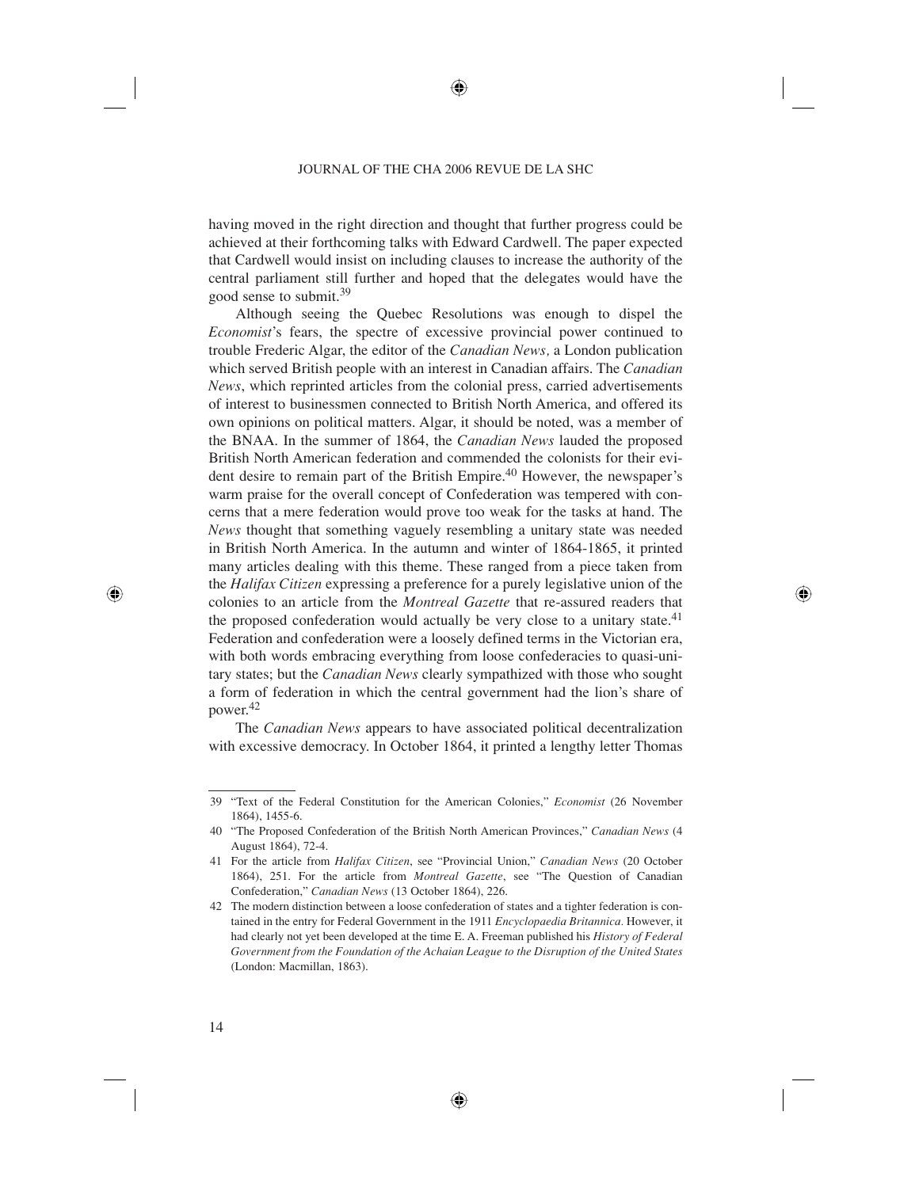having moved in the right direction and thought that further progress could be achieved at their forthcoming talks with Edward Cardwell. The paper expected that Cardwell would insist on including clauses to increase the authority of the central parliament still further and hoped that the delegates would have the good sense to submit.39

Although seeing the Quebec Resolutions was enough to dispel the *Economist*'s fears, the spectre of excessive provincial power continued to trouble Frederic Algar, the editor of the *Canadian News,* a London publication which served British people with an interest in Canadian affairs. The *Canadian News*, which reprinted articles from the colonial press, carried advertisements of interest to businessmen connected to British North America, and offered its own opinions on political matters. Algar, it should be noted, was a member of the BNAA. In the summer of 1864, the *Canadian News* lauded the proposed British North American federation and commended the colonists for their evident desire to remain part of the British Empire.<sup>40</sup> However, the newspaper's warm praise for the overall concept of Confederation was tempered with concerns that a mere federation would prove too weak for the tasks at hand. The *News* thought that something vaguely resembling a unitary state was needed in British North America. In the autumn and winter of 1864-1865, it printed many articles dealing with this theme. These ranged from a piece taken from the *Halifax Citizen* expressing a preference for a purely legislative union of the colonies to an article from the *Montreal Gazette* that re-assured readers that the proposed confederation would actually be very close to a unitary state.<sup>41</sup> Federation and confederation were a loosely defined terms in the Victorian era, with both words embracing everything from loose confederacies to quasi-unitary states; but the *Canadian News* clearly sympathized with those who sought a form of federation in which the central government had the lion's share of power.42

The *Canadian News* appears to have associated political decentralization with excessive democracy. In October 1864, it printed a lengthy letter Thomas

 <sup>39 &</sup>quot;Text of the Federal Constitution for the American Colonies," *Economist* (26 November 1864), 1455-6.

 <sup>40 &</sup>quot;The Proposed Confederation of the British North American Provinces," *Canadian News* (4 August 1864), 72-4.

 <sup>41</sup> For the article from *Halifax Citizen*, see "Provincial Union," *Canadian News* (20 October 1864), 251. For the article from *Montreal Gazette*, see "The Question of Canadian Confederation," *Canadian News* (13 October 1864), 226.

 <sup>42</sup> The modern distinction between a loose confederation of states and a tighter federation is contained in the entry for Federal Government in the 1911 *Encyclopaedia Britannica.* However, it had clearly not yet been developed at the time E. A. Freeman published his *History of Federal Government from the Foundation of the Achaian League to the Disruption of the United States* (London: Macmillan, 1863).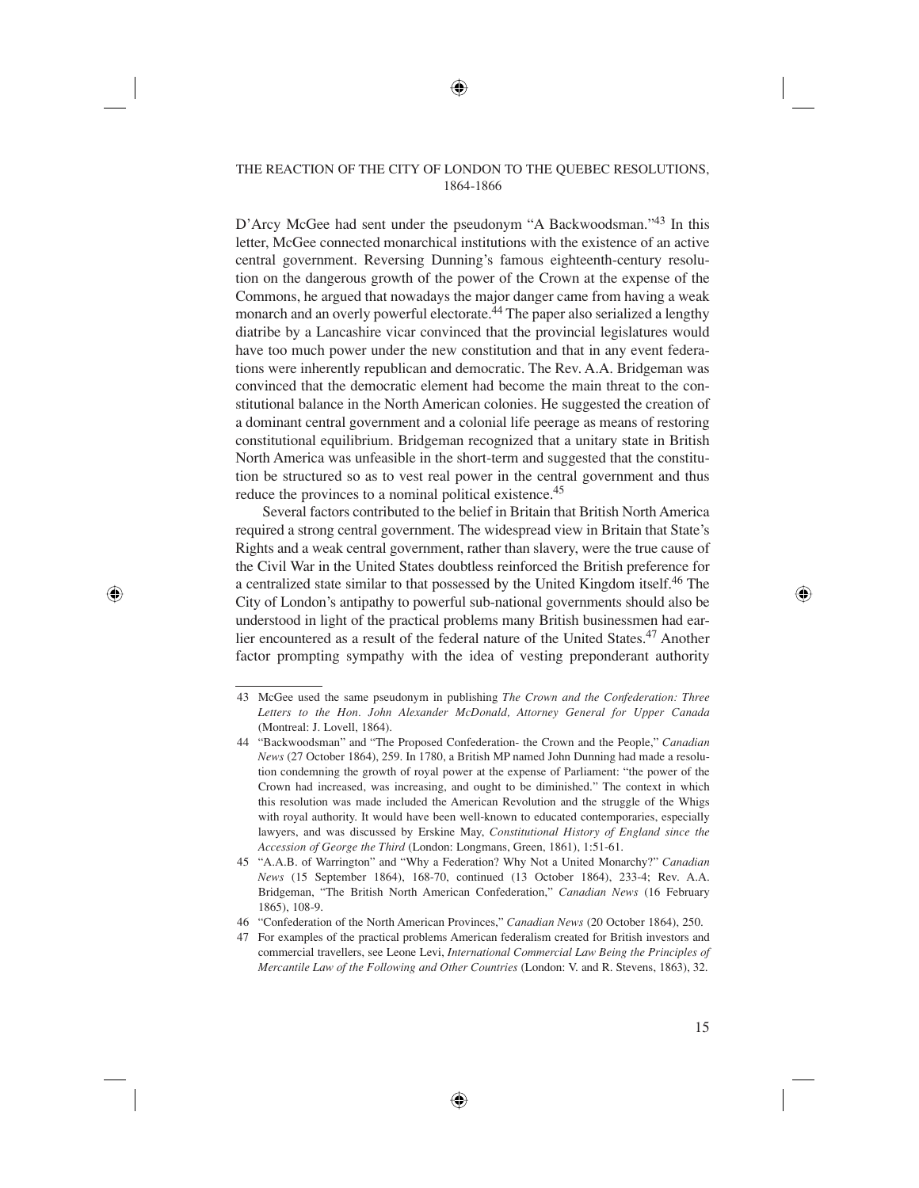D'Arcy McGee had sent under the pseudonym "A Backwoodsman."43 In this letter, McGee connected monarchical institutions with the existence of an active central government. Reversing Dunning's famous eighteenth-century resolution on the dangerous growth of the power of the Crown at the expense of the Commons, he argued that nowadays the major danger came from having a weak monarch and an overly powerful electorate.<sup>44</sup> The paper also serialized a lengthy diatribe by a Lancashire vicar convinced that the provincial legislatures would have too much power under the new constitution and that in any event federations were inherently republican and democratic. The Rev. A.A. Bridgeman was convinced that the democratic element had become the main threat to the constitutional balance in the North American colonies. He suggested the creation of a dominant central government and a colonial life peerage as means of restoring constitutional equilibrium. Bridgeman recognized that a unitary state in British North America was unfeasible in the short-term and suggested that the constitution be structured so as to vest real power in the central government and thus reduce the provinces to a nominal political existence.45

Several factors contributed to the belief in Britain that British North America required a strong central government. The widespread view in Britain that State's Rights and a weak central government, rather than slavery, were the true cause of the Civil War in the United States doubtless reinforced the British preference for a centralized state similar to that possessed by the United Kingdom itself.46 The City of London's antipathy to powerful sub-national governments should also be understood in light of the practical problems many British businessmen had earlier encountered as a result of the federal nature of the United States.<sup>47</sup> Another factor prompting sympathy with the idea of vesting preponderant authority

 <sup>43</sup> McGee used the same pseudonym in publishing *The Crown and the Confederation: Three Letters to the Hon. John Alexander McDonald, Attorney General for Upper Canada*  (Montreal: J. Lovell, 1864).

 <sup>44 &</sup>quot;Backwoodsman" and "The Proposed Confederation- the Crown and the People," *Canadian News* (27 October 1864), 259. In 1780, a British MP named John Dunning had made a resolution condemning the growth of royal power at the expense of Parliament: "the power of the Crown had increased, was increasing, and ought to be diminished." The context in which this resolution was made included the American Revolution and the struggle of the Whigs with royal authority. It would have been well-known to educated contemporaries, especially lawyers, and was discussed by Erskine May, *Constitutional History of England since the Accession of George the Third* (London: Longmans, Green, 1861), 1:51-61.

 <sup>45 &</sup>quot;A.A.B. of Warrington" and "Why a Federation? Why Not a United Monarchy?" *Canadian News* (15 September 1864), 168-70, continued (13 October 1864), 233-4; Rev. A.A. Bridgeman, "The British North American Confederation," *Canadian News* (16 February 1865), 108-9.

 <sup>46 &</sup>quot;Confederation of the North American Provinces," *Canadian News* (20 October 1864), 250.

 <sup>47</sup> For examples of the practical problems American federalism created for British investors and commercial travellers, see Leone Levi, *International Commercial Law Being the Principles of Mercantile Law of the Following and Other Countries* (London: V. and R. Stevens, 1863), 32.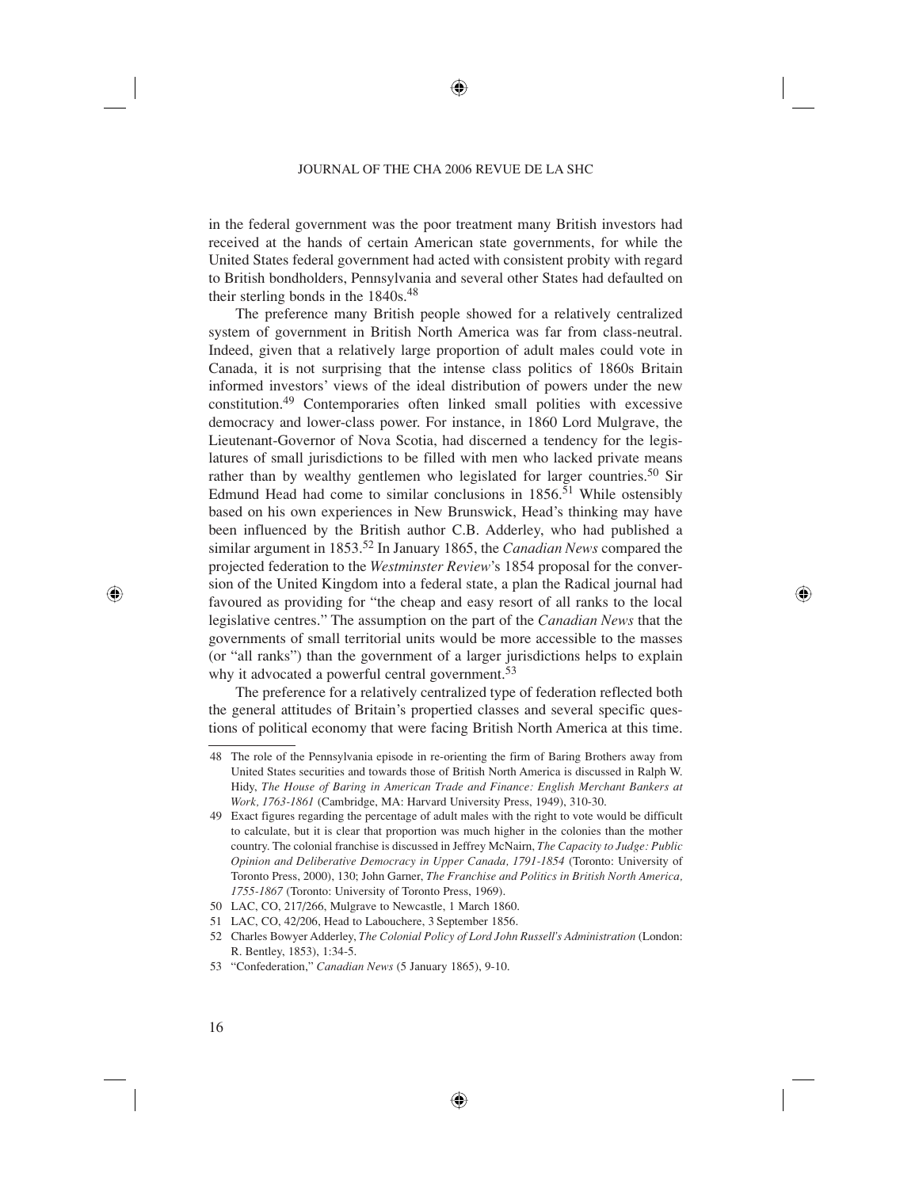in the federal government was the poor treatment many British investors had received at the hands of certain American state governments, for while the United States federal government had acted with consistent probity with regard to British bondholders, Pennsylvania and several other States had defaulted on their sterling bonds in the  $1840s^{48}$ 

The preference many British people showed for a relatively centralized system of government in British North America was far from class-neutral. Indeed, given that a relatively large proportion of adult males could vote in Canada, it is not surprising that the intense class politics of 1860s Britain informed investors' views of the ideal distribution of powers under the new constitution.49 Contemporaries often linked small polities with excessive democracy and lower-class power. For instance, in 1860 Lord Mulgrave, the Lieutenant-Governor of Nova Scotia, had discerned a tendency for the legislatures of small jurisdictions to be filled with men who lacked private means rather than by wealthy gentlemen who legislated for larger countries.<sup>50</sup> Sir Edmund Head had come to similar conclusions in  $1856$ <sup>51</sup> While ostensibly based on his own experiences in New Brunswick, Head's thinking may have been influenced by the British author C.B. Adderley, who had published a similar argument in 1853.52 In January 1865, the *Canadian News* compared the projected federation to the *Westminster Review*'s 1854 proposal for the conversion of the United Kingdom into a federal state, a plan the Radical journal had favoured as providing for "the cheap and easy resort of all ranks to the local legislative centres." The assumption on the part of the *Canadian News* that the governments of small territorial units would be more accessible to the masses (or "all ranks") than the government of a larger jurisdictions helps to explain why it advocated a powerful central government.<sup>53</sup>

The preference for a relatively centralized type of federation reflected both the general attitudes of Britain's propertied classes and several specific questions of political economy that were facing British North America at this time.

 <sup>48</sup> The role of the Pennsylvania episode in re-orienting the firm of Baring Brothers away from United States securities and towards those of British North America is discussed in Ralph W. Hidy, *The House of Baring in American Trade and Finance: English Merchant Bankers at Work, 1763-1861* (Cambridge, MA: Harvard University Press, 1949), 310-30.

 <sup>49</sup> Exact figures regarding the percentage of adult males with the right to vote would be difficult to calculate, but it is clear that proportion was much higher in the colonies than the mother country. The colonial franchise is discussed in Jeffrey McNairn, *The Capacity to Judge: Public Opinion and Deliberative Democracy in Upper Canada, 1791-1854* (Toronto: University of Toronto Press, 2000), 130; John Garner, *The Franchise and Politics in British North America, 1755-1867* (Toronto: University of Toronto Press, 1969).

 <sup>50</sup> LAC, CO, 217/266, Mulgrave to Newcastle, 1 March 1860.

 <sup>51</sup> LAC, CO, 42/206, Head to Labouchere, 3 September 1856.

 <sup>52</sup> Charles Bowyer Adderley, *The Colonial Policy of Lord John Russell's Administration* (London: R. Bentley, 1853), 1:34-5.

 <sup>53 &</sup>quot;Confederation," *Canadian News* (5 January 1865), 9-10.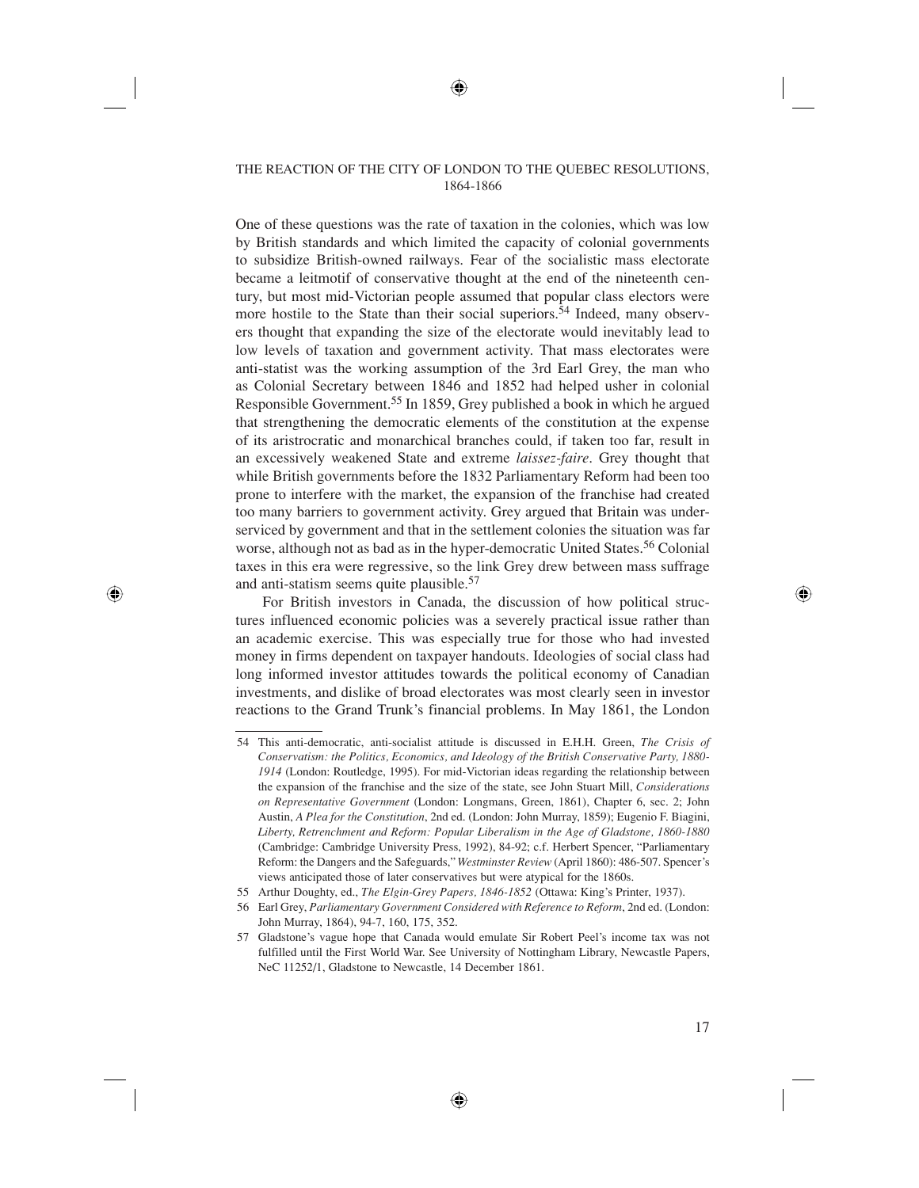One of these questions was the rate of taxation in the colonies, which was low by British standards and which limited the capacity of colonial governments to subsidize British-owned railways. Fear of the socialistic mass electorate became a leitmotif of conservative thought at the end of the nineteenth century, but most mid-Victorian people assumed that popular class electors were more hostile to the State than their social superiors.<sup>54</sup> Indeed, many observers thought that expanding the size of the electorate would inevitably lead to low levels of taxation and government activity. That mass electorates were anti-statist was the working assumption of the 3rd Earl Grey, the man who as Colonial Secretary between 1846 and 1852 had helped usher in colonial Responsible Government.55 In 1859, Grey published a book in which he argued that strengthening the democratic elements of the constitution at the expense of its aristrocratic and monarchical branches could, if taken too far, result in an excessively weakened State and extreme *laissez-faire*. Grey thought that while British governments before the 1832 Parliamentary Reform had been too prone to interfere with the market, the expansion of the franchise had created too many barriers to government activity. Grey argued that Britain was underserviced by government and that in the settlement colonies the situation was far worse, although not as bad as in the hyper-democratic United States.<sup>56</sup> Colonial taxes in this era were regressive, so the link Grey drew between mass suffrage and anti-statism seems quite plausible.<sup>57</sup>

For British investors in Canada, the discussion of how political structures influenced economic policies was a severely practical issue rather than an academic exercise. This was especially true for those who had invested money in firms dependent on taxpayer handouts. Ideologies of social class had long informed investor attitudes towards the political economy of Canadian investments, and dislike of broad electorates was most clearly seen in investor reactions to the Grand Trunk's financial problems. In May 1861, the London

 <sup>54</sup> This anti-democratic, anti-socialist attitude is discussed in E.H.H. Green, *The Crisis of Conservatism: the Politics, Economics, and Ideology of the British Conservative Party, 1880- 1914* (London: Routledge, 1995). For mid-Victorian ideas regarding the relationship between the expansion of the franchise and the size of the state, see John Stuart Mill, *Considerations on Representative Government* (London: Longmans, Green, 1861), Chapter 6, sec. 2; John Austin, *A Plea for the Constitution*, 2nd ed. (London: John Murray, 1859); Eugenio F. Biagini, *Liberty, Retrenchment and Reform: Popular Liberalism in the Age of Gladstone, 1860-1880*  (Cambridge: Cambridge University Press, 1992), 84-92; c.f. Herbert Spencer, "Parliamentary Reform: the Dangers and the Safeguards," *Westminster Review* (April 1860): 486-507. Spencer's views anticipated those of later conservatives but were atypical for the 1860s.

 <sup>55</sup> Arthur Doughty, ed., *The Elgin-Grey Papers, 1846-1852* (Ottawa: King's Printer, 1937).

 <sup>56</sup> Earl Grey, *Parliamentary Government Considered with Reference to Reform*, 2nd ed. (London: John Murray, 1864), 94-7, 160, 175, 352.

 <sup>57</sup> Gladstone's vague hope that Canada would emulate Sir Robert Peel's income tax was not fulfilled until the First World War. See University of Nottingham Library, Newcastle Papers, NeC 11252/1, Gladstone to Newcastle, 14 December 1861.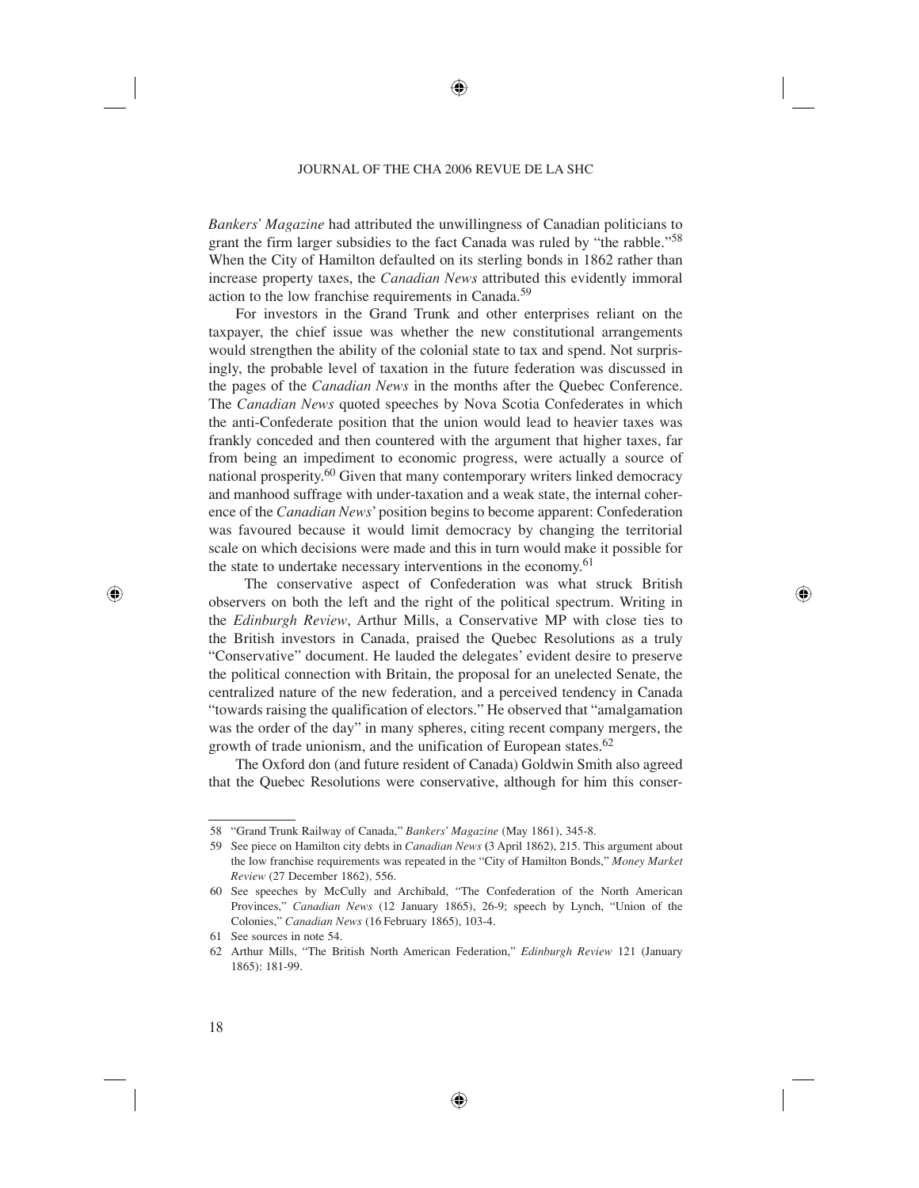*Bankers' Magazine* had attributed the unwillingness of Canadian politicians to grant the firm larger subsidies to the fact Canada was ruled by "the rabble."58 When the City of Hamilton defaulted on its sterling bonds in 1862 rather than increase property taxes, the *Canadian News* attributed this evidently immoral action to the low franchise requirements in Canada.<sup>59</sup>

For investors in the Grand Trunk and other enterprises reliant on the taxpayer, the chief issue was whether the new constitutional arrangements would strengthen the ability of the colonial state to tax and spend. Not surprisingly, the probable level of taxation in the future federation was discussed in the pages of the *Canadian News* in the months after the Quebec Conference. The *Canadian News* quoted speeches by Nova Scotia Confederates in which the anti-Confederate position that the union would lead to heavier taxes was frankly conceded and then countered with the argument that higher taxes, far from being an impediment to economic progress, were actually a source of national prosperity.<sup>60</sup> Given that many contemporary writers linked democracy and manhood suffrage with under-taxation and a weak state, the internal coherence of the *Canadian News*' position begins to become apparent: Confederation was favoured because it would limit democracy by changing the territorial scale on which decisions were made and this in turn would make it possible for the state to undertake necessary interventions in the economy.<sup>61</sup>

 The conservative aspect of Confederation was what struck British observers on both the left and the right of the political spectrum. Writing in the *Edinburgh Review*, Arthur Mills, a Conservative MP with close ties to the British investors in Canada, praised the Quebec Resolutions as a truly "Conservative" document. He lauded the delegates' evident desire to preserve the political connection with Britain, the proposal for an unelected Senate, the centralized nature of the new federation, and a perceived tendency in Canada "towards raising the qualification of electors." He observed that "amalgamation was the order of the day" in many spheres, citing recent company mergers, the growth of trade unionism, and the unification of European states.<sup>62</sup>

The Oxford don (and future resident of Canada) Goldwin Smith also agreed that the Quebec Resolutions were conservative, although for him this conser-

 <sup>58 &</sup>quot;Grand Trunk Railway of Canada," *Bankers' Magazine* (May 1861), 345-8.

 <sup>59</sup> See piece on Hamilton city debts in *Canadian News* **(**3 April 1862), 215. This argument about the low franchise requirements was repeated in the "City of Hamilton Bonds," *Money Market Review* (27 December 1862)*,* 556.

 <sup>60</sup> See speeches by McCully and Archibald, "The Confederation of the North American Provinces," *Canadian News* (12 January 1865), 26-9; speech by Lynch, "Union of the Colonies," *Canadian News* (16 February 1865), 103-4.

 <sup>61</sup> See sources in note 54.

 <sup>62</sup> Arthur Mills, "The British North American Federation," *Edinburgh Review* 121 (January 1865): 181-99.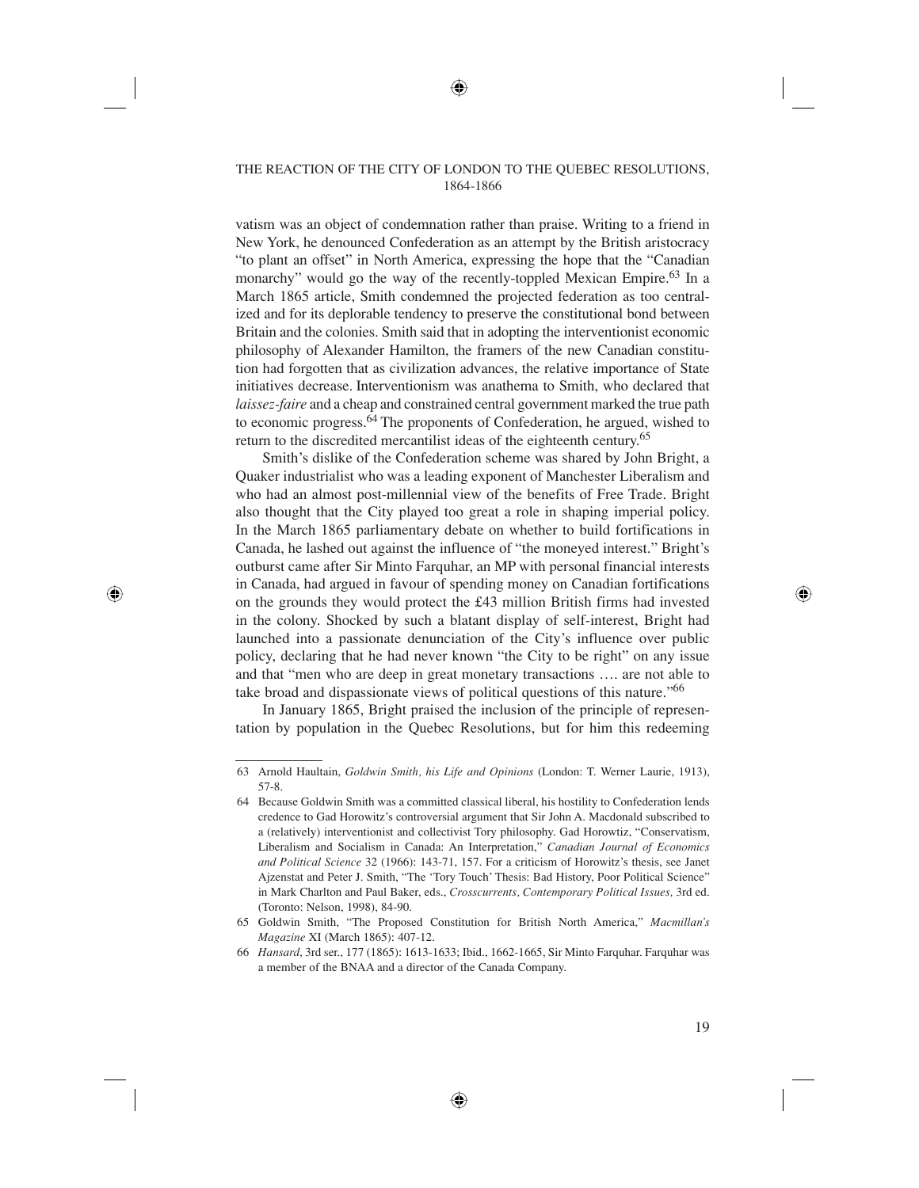vatism was an object of condemnation rather than praise. Writing to a friend in New York, he denounced Confederation as an attempt by the British aristocracy "to plant an offset" in North America, expressing the hope that the "Canadian monarchy" would go the way of the recently-toppled Mexican Empire.63 In a March 1865 article, Smith condemned the projected federation as too centralized and for its deplorable tendency to preserve the constitutional bond between Britain and the colonies. Smith said that in adopting the interventionist economic philosophy of Alexander Hamilton, the framers of the new Canadian constitution had forgotten that as civilization advances, the relative importance of State initiatives decrease. Interventionism was anathema to Smith, who declared that *laissez-faire* and a cheap and constrained central government marked the true path to economic progress.64 The proponents of Confederation, he argued, wished to return to the discredited mercantilist ideas of the eighteenth century.65

Smith's dislike of the Confederation scheme was shared by John Bright, a Quaker industrialist who was a leading exponent of Manchester Liberalism and who had an almost post-millennial view of the benefits of Free Trade. Bright also thought that the City played too great a role in shaping imperial policy. In the March 1865 parliamentary debate on whether to build fortifications in Canada, he lashed out against the influence of "the moneyed interest." Bright's outburst came after Sir Minto Farquhar, an MP with personal financial interests in Canada, had argued in favour of spending money on Canadian fortifications on the grounds they would protect the £43 million British firms had invested in the colony. Shocked by such a blatant display of self-interest, Bright had launched into a passionate denunciation of the City's influence over public policy, declaring that he had never known "the City to be right" on any issue and that "men who are deep in great monetary transactions …. are not able to take broad and dispassionate views of political questions of this nature."66

In January 1865, Bright praised the inclusion of the principle of representation by population in the Quebec Resolutions, but for him this redeeming

 <sup>63</sup> Arnold Haultain, *Goldwin Smith, his Life and Opinions* (London: T. Werner Laurie, 1913), 57-8.

 <sup>64</sup> Because Goldwin Smith was a committed classical liberal, his hostility to Confederation lends credence to Gad Horowitz's controversial argument that Sir John A. Macdonald subscribed to a (relatively) interventionist and collectivist Tory philosophy. Gad Horowtiz, "Conservatism, Liberalism and Socialism in Canada: An Interpretation," *Canadian Journal of Economics and Political Science* 32 (1966): 143-71, 157. For a criticism of Horowitz's thesis, see Janet Ajzenstat and Peter J. Smith, "The 'Tory Touch' Thesis: Bad History, Poor Political Science" in Mark Charlton and Paul Baker, eds., *Crosscurrents, Contemporary Political Issues,* 3rd ed. (Toronto: Nelson, 1998), 84-90.

 <sup>65</sup> Goldwin Smith, "The Proposed Constitution for British North America," *Macmillan's Magazine* XI (March 1865): 407-12.

 <sup>66</sup> *Hansard*, 3rd ser., 177 (1865): 1613-1633; Ibid., 1662-1665, Sir Minto Farquhar. Farquhar was a member of the BNAA and a director of the Canada Company.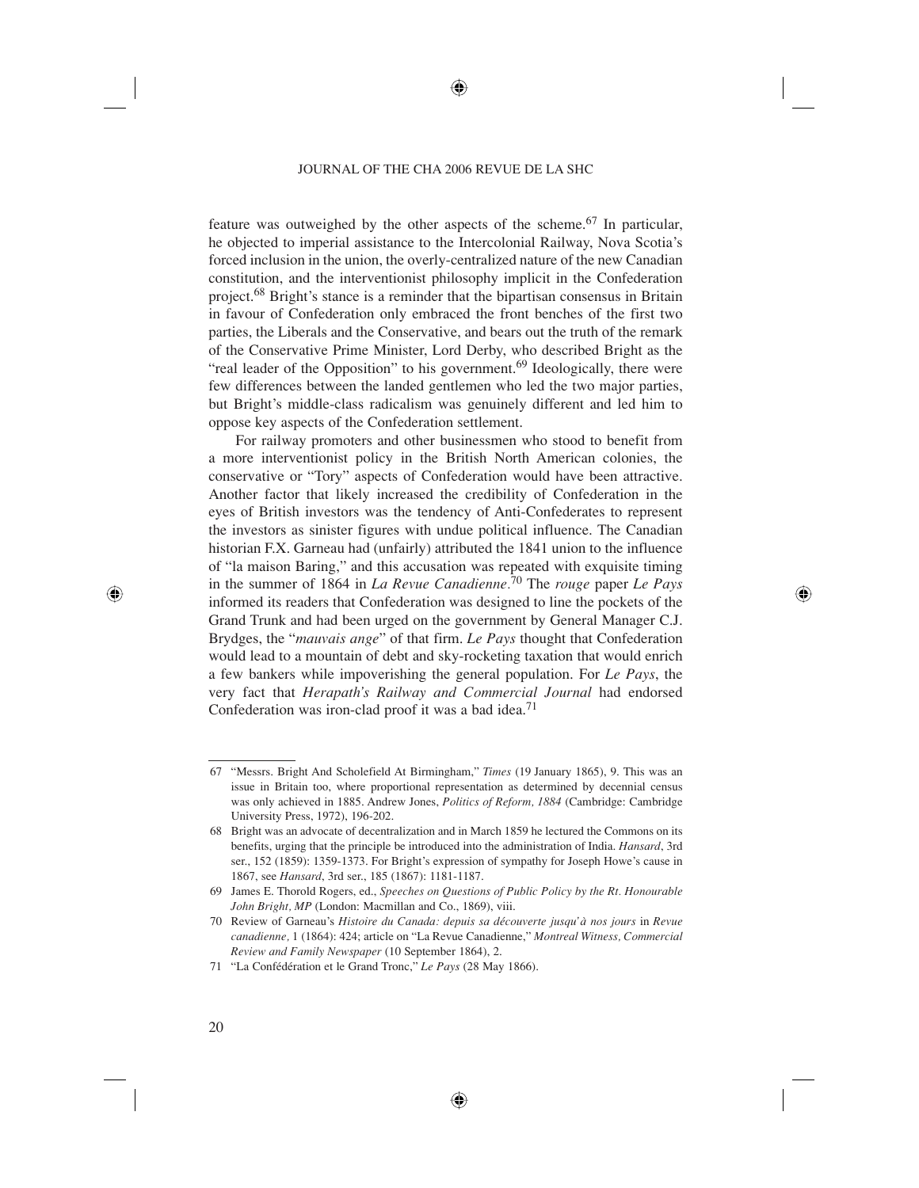feature was outweighed by the other aspects of the scheme.67 In particular, he objected to imperial assistance to the Intercolonial Railway, Nova Scotia's forced inclusion in the union, the overly-centralized nature of the new Canadian constitution, and the interventionist philosophy implicit in the Confederation project.68 Bright's stance is a reminder that the bipartisan consensus in Britain in favour of Confederation only embraced the front benches of the first two parties, the Liberals and the Conservative, and bears out the truth of the remark of the Conservative Prime Minister, Lord Derby, who described Bright as the "real leader of the Opposition" to his government.<sup>69</sup> Ideologically, there were few differences between the landed gentlemen who led the two major parties, but Bright's middle-class radicalism was genuinely different and led him to oppose key aspects of the Confederation settlement.

For railway promoters and other businessmen who stood to benefit from a more interventionist policy in the British North American colonies, the conservative or "Tory" aspects of Confederation would have been attractive. Another factor that likely increased the credibility of Confederation in the eyes of British investors was the tendency of Anti-Confederates to represent the investors as sinister figures with undue political influence. The Canadian historian F.X. Garneau had (unfairly) attributed the 1841 union to the influence of "la maison Baring," and this accusation was repeated with exquisite timing in the summer of 1864 in *La Revue Canadienne.*70 The *rouge* paper *Le Pays* informed its readers that Confederation was designed to line the pockets of the Grand Trunk and had been urged on the government by General Manager C.J. Brydges, the "*mauvais ange*" of that firm. *Le Pays* thought that Confederation would lead to a mountain of debt and sky-rocketing taxation that would enrich a few bankers while impoverishing the general population. For *Le Pays*, the very fact that *Herapath's Railway and Commercial Journal* had endorsed Confederation was iron-clad proof it was a bad idea.<sup>71</sup>

 <sup>67 &</sup>quot;Messrs. Bright And Scholefield At Birmingham," *Times* (19 January 1865), 9. This was an issue in Britain too, where proportional representation as determined by decennial census was only achieved in 1885. Andrew Jones, *Politics of Reform, 1884* (Cambridge: Cambridge University Press, 1972), 196-202.

 <sup>68</sup> Bright was an advocate of decentralization and in March 1859 he lectured the Commons on its benefits, urging that the principle be introduced into the administration of India. *Hansard*, 3rd ser., 152 (1859): 1359-1373. For Bright's expression of sympathy for Joseph Howe's cause in 1867, see *Hansard*, 3rd ser., 185 (1867): 1181-1187.

 <sup>69</sup> James E. Thorold Rogers, ed., *Speeches on Questions of Public Policy by the Rt. Honourable John Bright, MP* (London: Macmillan and Co., 1869), viii.

 <sup>70</sup> Review of Garneau's *Histoire du Canada: depuis sa découverte jusqu'à nos jours* in *Revue canadienne,* 1 (1864): 424; article on "La Revue Canadienne," *Montreal Witness, Commercial Review and Family Newspaper* (10 September 1864), 2.

 <sup>71 &</sup>quot;La Confédération et le Grand Tronc," *Le Pays* (28 May 1866).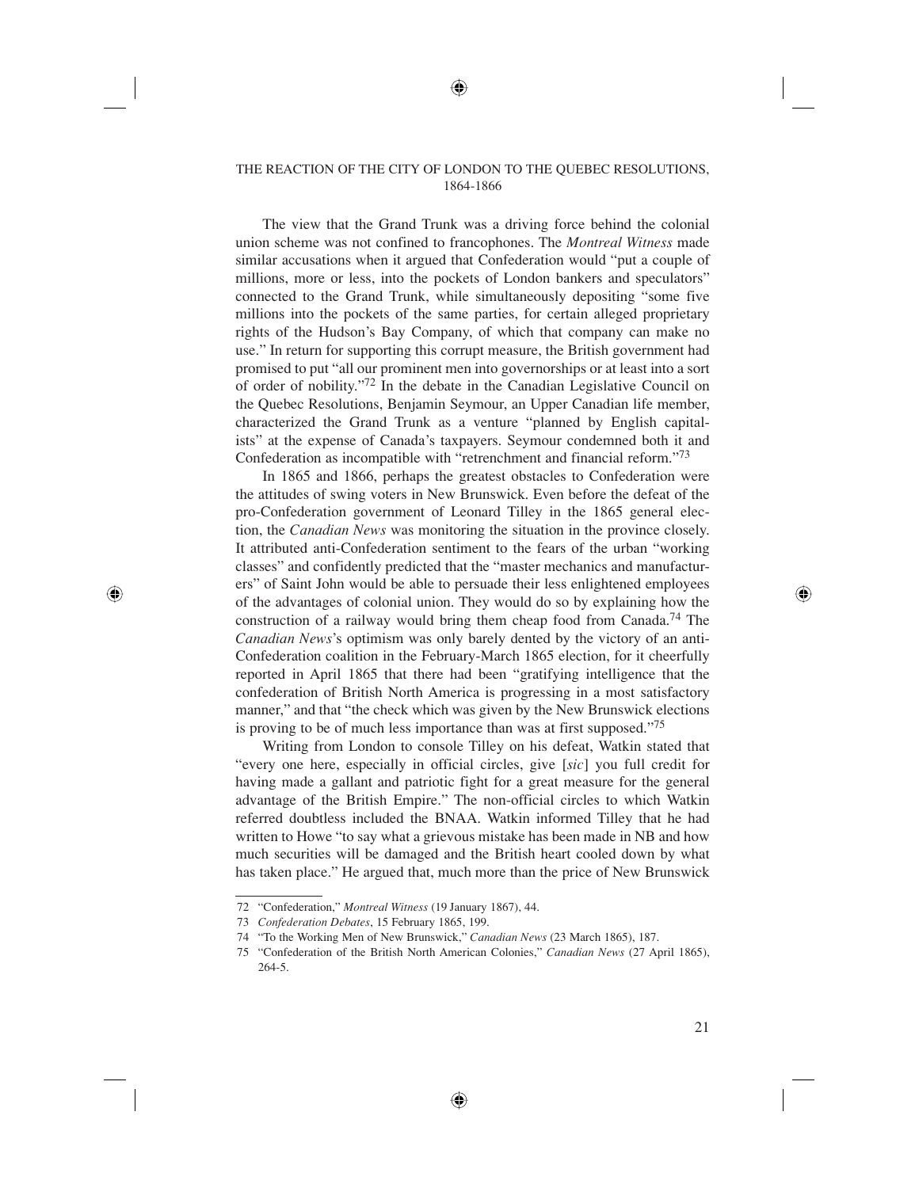The view that the Grand Trunk was a driving force behind the colonial union scheme was not confined to francophones. The *Montreal Witness* made similar accusations when it argued that Confederation would "put a couple of millions, more or less, into the pockets of London bankers and speculators" connected to the Grand Trunk, while simultaneously depositing "some five millions into the pockets of the same parties, for certain alleged proprietary rights of the Hudson's Bay Company, of which that company can make no use." In return for supporting this corrupt measure, the British government had promised to put "all our prominent men into governorships or at least into a sort of order of nobility."72 In the debate in the Canadian Legislative Council on the Quebec Resolutions, Benjamin Seymour, an Upper Canadian life member, characterized the Grand Trunk as a venture "planned by English capitalists" at the expense of Canada's taxpayers. Seymour condemned both it and Confederation as incompatible with "retrenchment and financial reform."73

In 1865 and 1866, perhaps the greatest obstacles to Confederation were the attitudes of swing voters in New Brunswick. Even before the defeat of the pro-Confederation government of Leonard Tilley in the 1865 general election, the *Canadian News* was monitoring the situation in the province closely. It attributed anti-Confederation sentiment to the fears of the urban "working classes" and confidently predicted that the "master mechanics and manufacturers" of Saint John would be able to persuade their less enlightened employees of the advantages of colonial union. They would do so by explaining how the construction of a railway would bring them cheap food from Canada.<sup>74</sup> The *Canadian News*'s optimism was only barely dented by the victory of an anti-Confederation coalition in the February-March 1865 election, for it cheerfully reported in April 1865 that there had been "gratifying intelligence that the confederation of British North America is progressing in a most satisfactory manner," and that "the check which was given by the New Brunswick elections is proving to be of much less importance than was at first supposed."75

Writing from London to console Tilley on his defeat, Watkin stated that "every one here, especially in official circles, give [*sic*] you full credit for having made a gallant and patriotic fight for a great measure for the general advantage of the British Empire." The non-official circles to which Watkin referred doubtless included the BNAA. Watkin informed Tilley that he had written to Howe "to say what a grievous mistake has been made in NB and how much securities will be damaged and the British heart cooled down by what has taken place." He argued that, much more than the price of New Brunswick

 <sup>72 &</sup>quot;Confederation," *Montreal Witness* (19 January 1867), 44.

 <sup>73</sup> *Confederation Debates*, 15 February 1865, 199.

 <sup>74 &</sup>quot;To the Working Men of New Brunswick," *Canadian News* (23 March 1865), 187.

 <sup>75 &</sup>quot;Confederation of the British North American Colonies," *Canadian News* (27 April 1865), 264-5.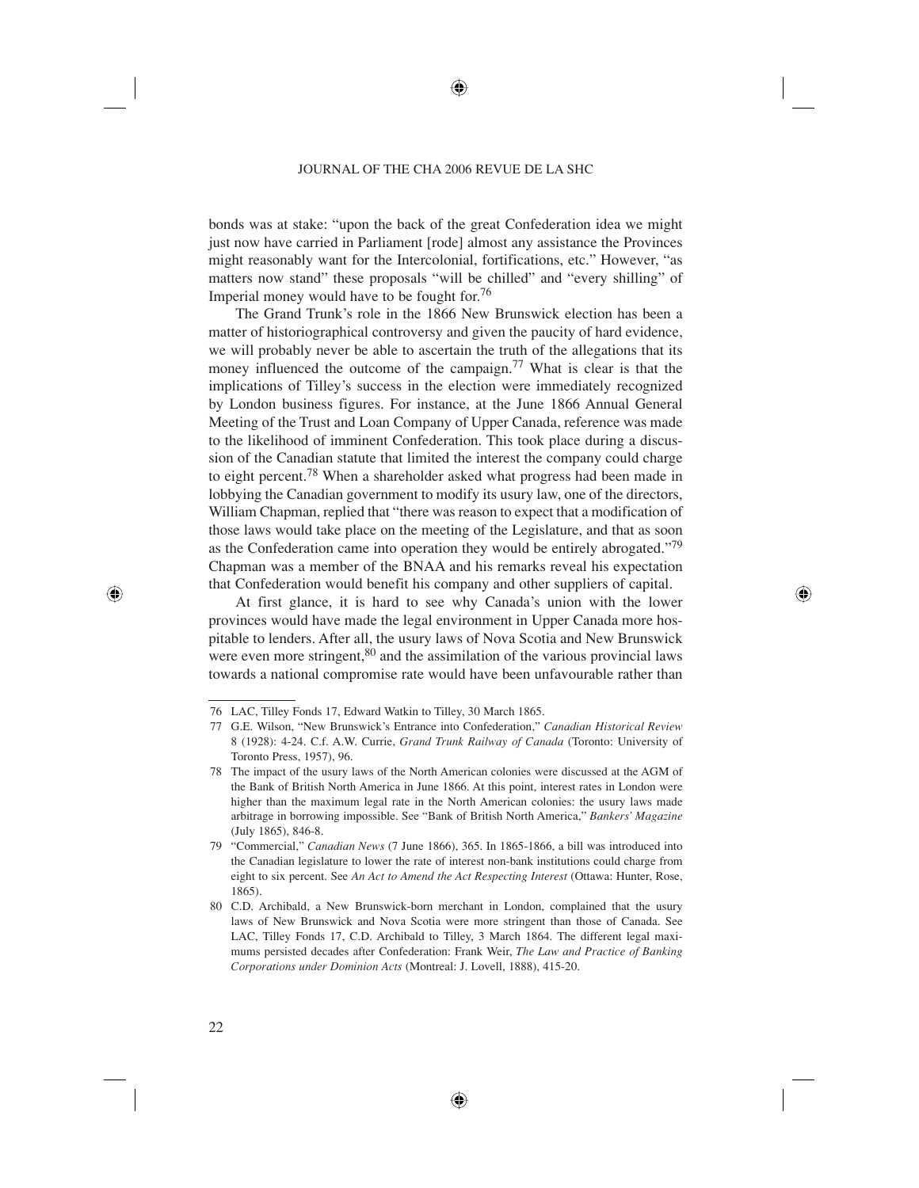bonds was at stake: "upon the back of the great Confederation idea we might just now have carried in Parliament [rode] almost any assistance the Provinces might reasonably want for the Intercolonial, fortifications, etc." However, "as matters now stand" these proposals "will be chilled" and "every shilling" of Imperial money would have to be fought for.<sup>76</sup>

The Grand Trunk's role in the 1866 New Brunswick election has been a matter of historiographical controversy and given the paucity of hard evidence, we will probably never be able to ascertain the truth of the allegations that its money influenced the outcome of the campaign.<sup>77</sup> What is clear is that the implications of Tilley's success in the election were immediately recognized by London business figures. For instance, at the June 1866 Annual General Meeting of the Trust and Loan Company of Upper Canada, reference was made to the likelihood of imminent Confederation. This took place during a discussion of the Canadian statute that limited the interest the company could charge to eight percent.78 When a shareholder asked what progress had been made in lobbying the Canadian government to modify its usury law, one of the directors, William Chapman, replied that "there was reason to expect that a modification of those laws would take place on the meeting of the Legislature, and that as soon as the Confederation came into operation they would be entirely abrogated."79 Chapman was a member of the BNAA and his remarks reveal his expectation that Confederation would benefit his company and other suppliers of capital.

At first glance, it is hard to see why Canada's union with the lower provinces would have made the legal environment in Upper Canada more hospitable to lenders. After all, the usury laws of Nova Scotia and New Brunswick were even more stringent, $80$  and the assimilation of the various provincial laws towards a national compromise rate would have been unfavourable rather than

 <sup>76</sup> LAC, Tilley Fonds 17, Edward Watkin to Tilley, 30 March 1865.

 <sup>77</sup> G.E. Wilson, "New Brunswick's Entrance into Confederation," *Canadian Historical Review* 8 (1928): 4-24. C.f. A.W. Currie, *Grand Trunk Railway of Canada* (Toronto: University of Toronto Press, 1957), 96.

 <sup>78</sup> The impact of the usury laws of the North American colonies were discussed at the AGM of the Bank of British North America in June 1866. At this point, interest rates in London were higher than the maximum legal rate in the North American colonies: the usury laws made arbitrage in borrowing impossible. See "Bank of British North America," *Bankers' Magazine* (July 1865), 846-8.

 <sup>79 &</sup>quot;Commercial," *Canadian News* (7 June 1866), 365. In 1865-1866, a bill was introduced into the Canadian legislature to lower the rate of interest non-bank institutions could charge from eight to six percent. See *An Act to Amend the Act Respecting Interest* (Ottawa: Hunter, Rose, 1865).

 <sup>80</sup> C.D. Archibald, a New Brunswick-born merchant in London, complained that the usury laws of New Brunswick and Nova Scotia were more stringent than those of Canada. See LAC, Tilley Fonds 17, C.D. Archibald to Tilley, 3 March 1864. The different legal maximums persisted decades after Confederation: Frank Weir, *The Law and Practice of Banking Corporations under Dominion Acts* (Montreal: J. Lovell, 1888), 415-20.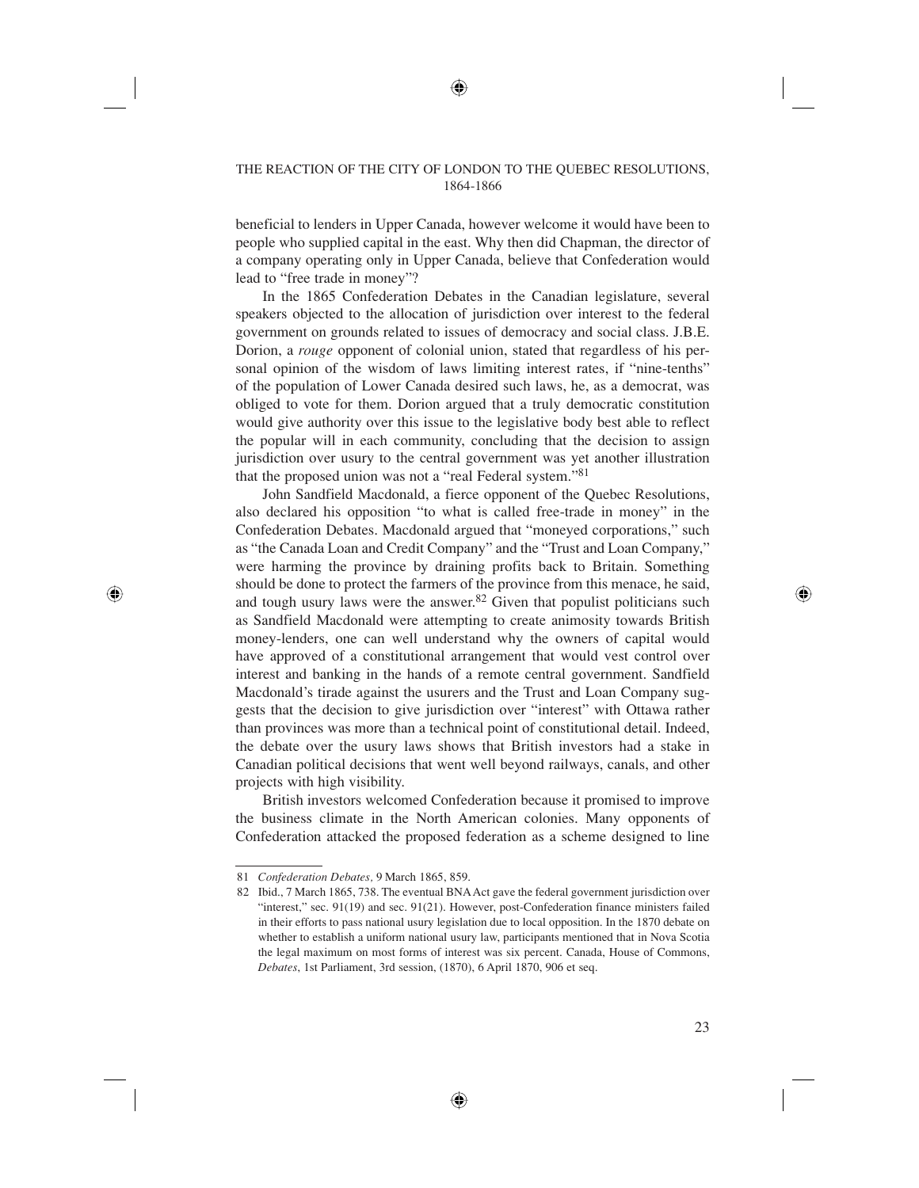beneficial to lenders in Upper Canada, however welcome it would have been to people who supplied capital in the east. Why then did Chapman, the director of a company operating only in Upper Canada, believe that Confederation would lead to "free trade in money"?

In the 1865 Confederation Debates in the Canadian legislature, several speakers objected to the allocation of jurisdiction over interest to the federal government on grounds related to issues of democracy and social class. J.B.E. Dorion, a *rouge* opponent of colonial union, stated that regardless of his personal opinion of the wisdom of laws limiting interest rates, if "nine-tenths" of the population of Lower Canada desired such laws, he, as a democrat, was obliged to vote for them. Dorion argued that a truly democratic constitution would give authority over this issue to the legislative body best able to reflect the popular will in each community, concluding that the decision to assign jurisdiction over usury to the central government was yet another illustration that the proposed union was not a "real Federal system."81

John Sandfield Macdonald, a fierce opponent of the Quebec Resolutions, also declared his opposition "to what is called free-trade in money" in the Confederation Debates. Macdonald argued that "moneyed corporations," such as "the Canada Loan and Credit Company" and the "Trust and Loan Company," were harming the province by draining profits back to Britain. Something should be done to protect the farmers of the province from this menace, he said, and tough usury laws were the answer.<sup>82</sup> Given that populist politicians such as Sandfield Macdonald were attempting to create animosity towards British money-lenders, one can well understand why the owners of capital would have approved of a constitutional arrangement that would vest control over interest and banking in the hands of a remote central government. Sandfield Macdonald's tirade against the usurers and the Trust and Loan Company suggests that the decision to give jurisdiction over "interest" with Ottawa rather than provinces was more than a technical point of constitutional detail. Indeed, the debate over the usury laws shows that British investors had a stake in Canadian political decisions that went well beyond railways, canals, and other projects with high visibility.

British investors welcomed Confederation because it promised to improve the business climate in the North American colonies. Many opponents of Confederation attacked the proposed federation as a scheme designed to line

 <sup>81</sup> *Confederation Debates,* 9 March 1865, 859.

 <sup>82</sup> Ibid., 7 March 1865, 738. The eventual BNA Act gave the federal government jurisdiction over "interest," sec. 91(19) and sec. 91(21). However, post-Confederation finance ministers failed in their efforts to pass national usury legislation due to local opposition. In the 1870 debate on whether to establish a uniform national usury law, participants mentioned that in Nova Scotia the legal maximum on most forms of interest was six percent. Canada, House of Commons, *Debates*, 1st Parliament, 3rd session, (1870), 6 April 1870, 906 et seq.